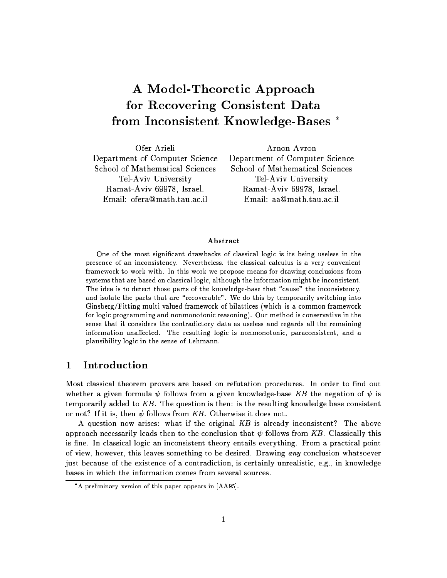# A Model-Theoretic Approach for Recovering Consistent Data from Inconsistent Knowledge-Bases

Ofer Arieli Arnon Avron Department of Computer Science Department of Computer Science School of Mathematical Sciences School of Mathematical Sciences Tel-Aviv University Tel-Aviv University Ramat-Aviv 69978, Israel. Ramat-Aviv 69978, Israel. Email: ofera@math.tau.ac.il Email: aa@math.tau.ac.il

#### Abstract

One of the most signicant drawbacks of classical logic is its being useless in the presence of an inconsistency. Nevertheless, the classical calculus is a very convenient framework to work with. In this work we propose means for drawing conclusions from systems that are based on classical logic, although the information might be inconsistent. The idea is to detect those parts of the knowledge-base that \cause" the inconsistency, and isolate that parts that are  $\sim$  terms temporarily states in the switching into  $\sim$ Ginsberg/Fitting multi-valued framework of bilattices (which is a common framework for logic programming and nonmonotonic reasoning). Our method is conservative in the sense that it considers the contradictory data as useless and regards all the remaining information unaected. The resulting logic is nonmonotonic, paraconsistent, and <sup>a</sup> plausibility logic in the sense of Lehmann.

#### $\mathbf{1}$ **Introduction**

Most classical theorem provers are based on refutation procedures. In order to find out whether a given formula  $\psi$  follows from a given knowledge-base KB the negation of  $\psi$  is temporarily added to  $KB$ . The question is then: is the resulting knowledge base consistent or not? If it is, then  $\psi$  follows from KB. Otherwise it does not.

A question now arises: what if the original  $KB$  is already inconsistent? The above approach necessarily leads then to the conclusion that  $\psi$  follows from KB. Classically this is fine. In classical logic an inconsistent theory entails everything. From a practical point of view, however, this leaves something to be desired. Drawing any conclusion whatsoever just because of the existence of a contradiction, is certainly unrealistic, e.g., in knowledge bases in which the information comes from several sources.

A preliminary version of this paper appears in [AA95].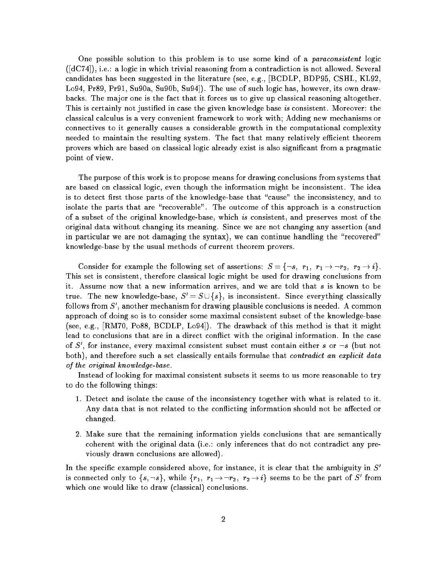One possible solution to this problem is to use some kind of a paraconsistent logic ([dC74]), i.e.: a logic in which trivial reasoning from a contradiction is not allowed. Several candidates has been suggested in the literature (see, e.g., [BCDLP, BDP95, CSHL, KL92, Lo94, Pr89, Pr91, Su90a, Su90b, Su94]). The use of such logic has, however, its own drawbacks. The ma jor one is the fact that it forces us to give up classical reasoning altogether. This is certainly not justified in case the given knowledge base is consistent. Moreover: the classical calculus is a very convenient framework to work with; Adding new mechanisms or connectives to it generally causes a considerable growth in the computational complexity needed to maintain the resulting system. The fact that many relatively efficient theorem provers which are based on classical logic already exist is also signicant from a pragmatic point of view.

The purpose of this work is to propose means for drawing conclusions from systems that are based on classical logic, even though the information might be inconsistent. The idea is to detect first those parts of the knowledge-base that "cause" the inconsistency, and to isolate the parts that are "recoverable". The outcome of this approach is a construction of a subset of the original knowledge-base, which is consistent, and preserves most of the original data without changing its meaning. Since we are not changing any assertion (and in particular we are not damaging the syntax), we can continue handling the "recovered" knowledge-base by the usual methods of current theorem provers.

Consider for example the following set of assertions:  $S = \{-s, r_1, r_1 \rightarrow r_2, r_2 \rightarrow i\}.$ This set is consistent, therefore classical logic might be used for drawing conclusions from it. Assume now that a new information arrives, and we are told that  $s$  is known to be true. The new knowledge-base,  $S' = S \cup \{s\}$ , is inconsistent. Since everything classically follows from  $S'$ , another mechanism for drawing plausible conclusions is needed. A common approach of doing so is to consider some maximal consistent subset of the knowledge-base (see, e.g., [RM70, Po88, BCDLP, Lo94]). The drawback of this method is that it might lead to conclusions that are in a direct conflict with the original information. In the case of S', for instance, every maximal consistent subset must contain either s or  $\neg s$  (but not both), and therefore such a set classically entails formulae that *contradict an explicit data* of the original knowledge-base.

Instead of looking for maximal consistent subsets it seems to us more reasonable to try to do the following things:

- 1. Detect and isolate the cause of the inconsistency together with what is related to it. Any data that is not related to the conflicting information should not be affected or changed.
- 2. Make sure that the remaining information yields conclusions that are semantically coherent with the original data (i.e.: only inferences that do not contradict any previously drawn conclusions are allowed).

In the specific example considered above, for instance, it is clear that the ambiguity in  $S'$ is connected only to  $\{s, \neg s\},$  while  $\{r_1,\; r_1\mathop{\rightarrow}\neg r_2,\; r_2\mathop{\rightarrow}\! i\}$  seems to be the part of  $S'$  from which one would like to draw (classical) conclusions.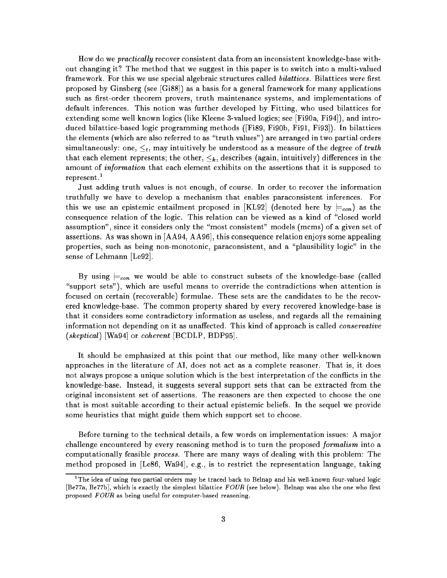How do we  $practically$  recover consistent data from an inconsistent knowledge-base without changing it? The method that we suggest in this paper is to switch into a multi-valued framework. For this we use special algebraic structures called *bilattices.* Bilattices were first proposed by Ginsberg (see [Gi88]) as a basis for a general framework for many applications such as first-order theorem provers, truth maintenance systems, and implementations of default inferences. This notion was further developed by Fitting, who used bilattices for extending some well known logics (like Kleene 3-valued logics; see [Fi90a, Fi94]), and introduced bilattice-based logic programming methods ([Fi89, Fi90b, Fi91, Fi93]). In bilattices the elements (which are also referred to as "truth values") are arranged in two partial orders simultaneously: one,  $\leq_t$ , may intuitively be understood as a measure of the degree of truth that each element represents; the other,  $\leq_k$ , describes (again, intuitively) differences in the amount of information that each element exhibits on the assertions that it is supposed to represent. $<sup>1</sup>$ </sup>

Just adding truth values is not enough, of course. In order to recover the information truthfully we have to develop a mechanism that enables paraconsistent inferences. For this we use an epistemic entailment proposed in [KL92] (denoted here by  $\equiv_{con}$ ) as the consequence relation of the logic. This relation can be viewed as a kind of "closed world assumption", since it considers only the "most consistent" models (mcms) of a given set of assertions. As was shown in [AA94, AA96], this consequence relation enjoys some appealing properties, such as being non-monotonic, paraconsistent, and a \plausibility logic" in the sense of Lehmann [Le92].

By using  $\models_{con}$  we would be able to construct subsets of the knowledge-base (called "support sets"), which are useful means to override the contradictions when attention is focused on certain (recoverable) formulae. These sets are the candidates to be the recovered knowledge-base. The common property shared by every recovered knowledge-base is that it considers some contradictory information as useless, and regards all the remaining information not depending on it as unaffected. This kind of approach is called *conservative* (skeptical) [Wa94] or coherent [BCDLP, BDP95].

It should be emphasized at this point that our method, like many other well-known approaches in the literature of AI, does not act as a complete reasoner. That is, it does not always propose a unique solution which is the best interpretation of the conflicts in the knowledge-base. Instead, it suggests several support sets that can be extracted from the original inconsistent set of assertions. The reasoners are then expected to choose the one that is most suitable according to their actual epistemic beliefs. In the sequel we provide some heuristics that might guide them which support set to choose.

Before turning to the technical details, a few words on implementation issues: A ma jor challenge encountered by every reasoning method is to turn the proposed formalism into a computationally feasible process. There are many ways of dealing with this problem: The method proposed in [Le86, Wa94], e.g., is to restrict the representation language, taking

The idea of using  $\it two$  partial orders may be traced back to Belnap and his well-known four-valued logic [Be77a, Be77b], which is exactly the simplest bilattice  $FOUR$  (see below). Belnap was also the one who first proposed  $FOUR$  as being useful for computer-based reasoning.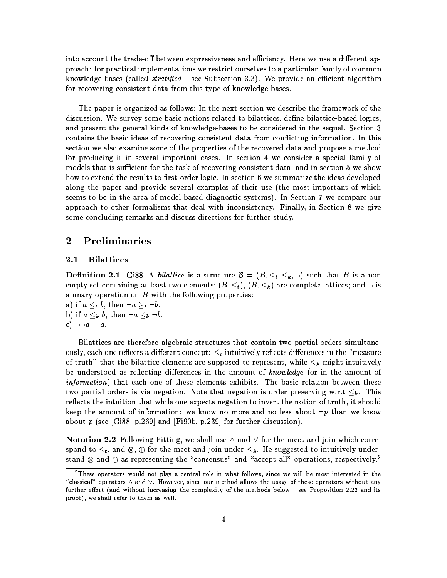into account the trade-off between expressiveness and efficiency. Here we use a different approach: for practical implementations we restrict ourselves to a particular family of common knowledge-bases (called *stratified –* see Subsection 3.3). We provide an efficient algorithm for recovering consistent data from this type of knowledge-bases.

The paper is organized as follows: In the next section we describe the framework of the discussion. We survey some basic notions related to bilattices, define bilattice-based logics, and present the general kinds of knowledge-bases to be considered in the sequel. Section 3 contains the basic ideas of recovering consistent data from con
icting information. In this section we also examine some of the properties of the recovered data and propose a method for producing it in several important cases. In section 4 we consider a special family of models that is sufficient for the task of recovering consistent data, and in section 5 we show how to extend the results to first-order logic. In section 6 we summarize the ideas developed along the paper and provide several examples of their use (the most important of which seems to be in the area of model-based diagnostic systems). In Section 7 we compare our approach to other formalisms that deal with inconsistency. Finally, in Section 8 we give some concluding remarks and discuss directions for further study.

## 2 Preliminaries

### 2.1 Bilattices

**Definition 2.1** [Gi88] A *bilattice* is a structure  $B = (B, \leq_t, \leq_k, \neg)$  such that B is a non empty set containing at least two elements;  $(B, \leq_t)$ ,  $(B, \leq_k)$  are complete lattices; and  $\neg$  is a unary operation on  $B$  with the following properties:

a) if  $a \leq_t b$ , then  $\neg a \geq_t \neg b$ . b) if  $a \leq_k b$ , then  $\neg a \leq_k \neg b$ . c)  $\neg \neg a = a$ .

Bilattices are therefore algebraic structures that contain two partial orders simultaneously, each one reflects a different concept:  $\leq_t$  intuitively reflects differences in the "measure of truth" that the bilattice elements are supposed to represent, while  $\leq_k$  might intuitively be understood as reflecting differences in the amount of knowledge (or in the amount of information) that each one of these elements exhibits. The basic relation between these two partial orders is via negation. Note that negation is order preserving w.r.t  $\leq_k$ . This reflects the intuition that while one expects negation to invert the notion of truth, it should keep the amount of information: we know no more and no less about  $\neg p$  than we know about  $p$  (see [Gi88, p.269] and [Fi90b, p.239] for further discussion).

Notation 2.2 Following Fitting, we shall use  $\wedge$  and  $\vee$  for the meet and join which correspond to the meet and intuitive meeting into meet and interstand  $\otimes$  and  $\oplus$  as representing the "consensus" and "accept all" operations, respectively."

These operators would not play a central role in what follows, since we will be most interested in the " "classical" operators  $\wedge$  and  $\vee$ . However, since our method allows the usage of these operators without any further effort (and without increasing the complexity of the methods below  $-$  see Proposition 2.22 and its proof ), we shall refer to them as well.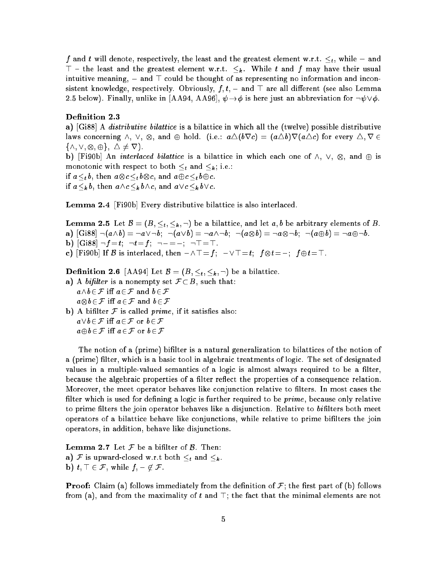f and t will denote, respectively, the least and the greatest element w.r.t.  $\leq_t$ , while  $\perp$  and  $\top$  - the least and the greatest element w.r.t.  $\leq_k$ . While t and f may have their usual intuitive meaning,  $\perp$  and  $\top$  could be thought of as representing no information and inconsistent knowledge, respectively. Obviously,  $f, t, \perp$  and  $\top$  are all different (see also Lemma 2.5 below). Finally, unlike in [AA94, AA96],  $\psi \rightarrow \phi$  is here just an abbreviation for  $\neg \psi \vee \phi$ .

#### Definition 2.3

a)  $[G188]$  A *distributive bilattice* is a bilattice in which all the (twelve) possible distributive laws concerning  $\land$ ,  $\lor$ ,  $\otimes$ , and  $\oplus$  hold. (i.e.:  $a\triangle (b\nabla c) = (a\triangle b)\nabla (a\triangle c)$  for every  $\triangle$ ,  $\nabla \in$  $f^{(1)}$ ;  $f^{(2)}$ ;  $f^{(1)}$ ;  $f^{(2)}$ ;  $f^{(3)}$ 

. In interlaced bilattice is a bilattice in which each one of  $\mathbf{w}$  and  $\mathbf{w}$  and  $\mathbf{w}$ monotonic with respect to both  $\leq_t$  and  $\leq_k$ ; i.e.:

if  $a \lt_b b$ , then  $a \otimes c \lt_b b \otimes c$ , and  $a \oplus c \lt_b b \oplus c$ .

if  $a\leq_{k} b$ , then  $a\wedge c\leq_{k} b\wedge c$ , and  $a\vee c\leq_{k} b\vee c$ .

Lemma 2.4 [Fi90b] Every distributive bilattice is also interlaced.

**Lemma 2.5** Let  $\mathcal{B} = (B, \leq_t, \leq_k, \neg)$  be a bilattice, and let  $a, b$  be arbitrary elements of B. a)  $[Gi88] \lnot(a \wedge b) = \neg a \vee \neg b; \ \neg(a \vee b) = \neg a \wedge \neg b; \ \neg(a \otimes b) = \neg a \otimes \neg b; \ \neg(a \oplus b) = \neg a \oplus \neg b.$ **b)** [Gi88]  $\neg f = t$ ;  $\neg t = f$ ;  $\neg \bot = \bot$ ;  $\neg \top = \top$ . c) [Fi90b] If B is interlaced, then  $\bot \wedge \top = f; \bot \vee \top = t; \ f \otimes t = \bot; \ f \oplus t = \top.$ 

**Definition 2.6** [AA94] Let  $\mathcal{B} = (B, \leq_t, \leq_k, \neg)$  be a bilattice.

- a) A bifilter is a nonempty set  $\mathcal{F} \subset B$ , such that:  $a\wedge b\in\mathcal{F}$  iff  $a\in\mathcal{F}$  and  $b\in\mathcal{F}$  $a\!\otimes\! b\!\in\! {\cal F}$  iff  $a\!\in\! {\cal F}$  and  $b\!\in\! {\cal F}$ b) A bifilter  $F$  is called prime, if it satisfies also:
- $a\vee b\in \mathcal{F}$  iff  $a\in \mathcal{F}$  or  $b\in \mathcal{F}$  $a \oplus b \in \mathcal{F}$  iff  $a \in \mathcal{F}$  or  $b \in \mathcal{F}$

The notion of a (prime) bilter is a natural generalization to bilattices of the notion of a (prime) filter, which is a basic tool in algebraic treatments of logic. The set of designated values in a multiple-valued semantics of a logic is almost always required to be a filter, because the algebraic properties of a filter reflect the properties of a consequence relation. Moreover, the meet operator behaves like conjunction relative to filters. In most cases the filter which is used for defining a logic is further required to be  $prime$ , because only relative to prime filters the join operator behaves like a disjunction. Relative to bifilters both meet operators of a bilattice behave like conjunctions, while relative to prime bilters the join operators, in addition, behave like disjunctions.

**Lemma 2.7** Let  $\mathcal F$  be a bifilter of  $\mathcal B$ . Then: a) F is upward-closed w.r.t both  $\leq_t$  and  $\leq_k$ . **b)**  $t, \top \in \mathcal{F}$ , while  $f, \bot \notin \mathcal{F}$ .

**Proof:** Claim (a) follows immediately from the definition of  $\mathcal{F}$ ; the first part of (b) follows from (a), and from the maximality of t and  $\top$ ; the fact that the minimal elements are not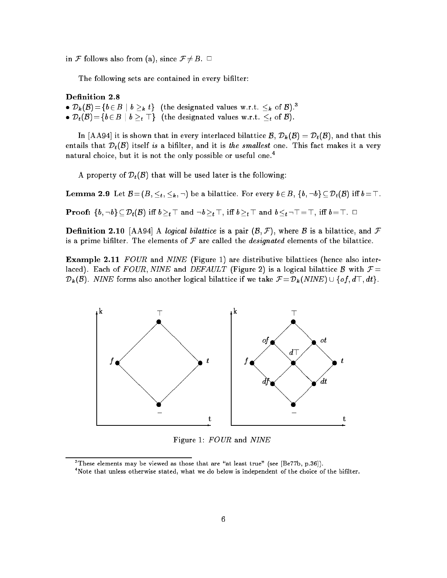in F follows also from (a), since  $\mathcal{F} \neq B$ .  $\Box$ 

The following sets are contained in every bilter:

#### Definition 2.8

•  $D_k(\mathcal{B}) = \{b \in B \mid b >_k t\}$  (the designated values w.r.t.  $\leq_k$  of  $\mathcal{B})$ .<sup>3</sup> •  $D_t(\mathcal{B}) = \{b \in B \mid b >_t \top\}$  (the designated values w.r.t.  $\leq_t$  of  $\mathcal{B}$ ).

In [AA94] it is shown that in every interlaced bilattice  $\mathcal{B}, \mathcal{D}_k(\mathcal{B}) = \mathcal{D}_t(\mathcal{B})$ , and that this entails that  $\mathcal{D}_t(\mathcal{B})$  itself is a bifilter, and it is the smallest one. This fact makes it a very natural choice, but it is not the only possible or useful one.<sup>4</sup>

A property of  $\mathcal{D}_t(\mathcal{B})$  that will be used later is the following:

**Lemma 2.9** Let  $B = (B, \leq_t, \leq_k, \neg)$  be a bilattice. For every  $b \in B$ ,  $\{b, \neg b\} \subseteq \mathcal{D}_t(B)$  iff  $b = \top$ . **Proof:**  $\{b, \neg b\} \subseteq \mathcal{D}_t(\mathcal{B})$  iff  $b \geq t$  and  $\neg b \geq t$ , iff  $b \geq t$  and  $b \leq t$   $\neg$   $\top = \top$ , iff  $b = \top$ .  $\Box$ 

**Definition 2.10** [AA94] A logical bilattice is a pair  $(\mathcal{B}, \mathcal{F})$ , where B is a bilattice, and F is a prime bifilter. The elements of  $\mathcal F$  are called the *designated* elements of the bilattice.

**Example 2.11** FOUR and NINE (Figure 1) are distributive bilattices (hence also interlaced). Each of FOUR, NINE and DEFAULT (Figure 2) is a logical bilattice B with  $F =$  $\mathcal{D}_k(\mathcal{B})$ . NINE forms also another logical bilattice if we take  $\mathcal{F} = \mathcal{D}_k(NINE) \cup \{of, d\top, dt\}.$ 



Figure 1: FOUR and NINE

These elements may be viewed as those that are "at least true" (see  $|{\rm Be}/7{\rm b},$  p.36 $|$ ).

<sup>4</sup> Note that unless otherwise stated, what we do below is independent of the choice of the bilter.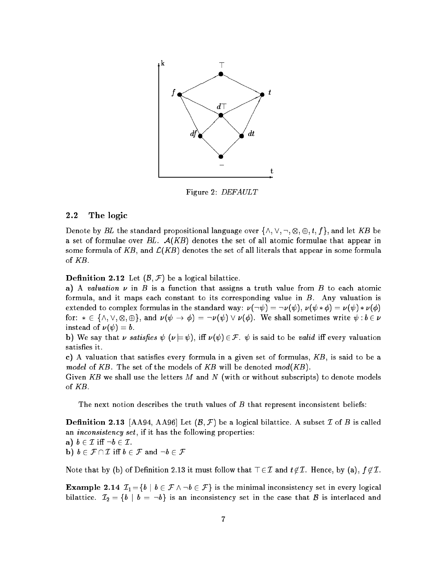

Figure 2: DEFAULT

### 2.2 The logic

Denote by BL the standard propositional language over  $\{\wedge, \vee, \neg, \otimes, \oplus, t, f\}$ , and let KB be a set of formulae over  $BL.$   $\mathcal{A}(KB)$  denotes the set of all atomic formulae that appear in some formula of KB, and  $\mathcal{L}(KB)$  denotes the set of all literals that appear in some formula of KB.

**Definition 2.12** Let  $(\mathcal{B}, \mathcal{F})$  be a logical bilattice.

a) A valuation  $\nu$  in B is a function that assigns a truth value from B to each atomic formula, and it maps each constant to its corresponding value in  $B$ . Any valuation is extended to complex formulas in the standard way:  $\nu(\neg \psi) = \neg \nu(\psi)$ ,  $\nu(\psi * \phi) = \nu(\psi) * \nu(\phi)$ for:  $*\in\{\wedge,\vee,\otimes,\oplus\},$  and  $\nu(\psi\to\phi) = \neg\nu(\psi)\vee\nu(\phi).$  We shall sometimes write  $\psi:b\in\nu$ instead of  $\nu (\psi) = b$ .

b) We say that  $\nu$  satisfies  $\psi$  ( $\nu = \psi$ ), iff  $\nu(\psi) \in \mathcal{F}$ .  $\psi$  is said to be valid iff every valuation satisfies it.

c) A valuation that satisfies every formula in a given set of formulas,  $KB$ , is said to be a model of KB. The set of the models of KB will be denoted  $mod(KB)$ .

Given KB we shall use the letters M and N (with or without subscripts) to denote models of KB.

The next notion describes the truth values of  $B$  that represent inconsistent beliefs:

**Definition 2.13** [AA94, AA96] Let  $(B, \mathcal{F})$  be a logical bilattice. A subset  $\mathcal{I}$  of  $B$  is called an *inconsistency set*, if it has the following properties:

a)  $b \in \mathcal{I}$  iff  $\neg b \in \mathcal{I}$ . b)  $b \in \mathcal{F} \cap \mathcal{I}$  iff  $b \in \mathcal{F}$  and  $\neg b \in \mathcal{F}$ 

Note that by (b) of Definition 2.13 it must follow that  $\top \in \mathcal{I}$  and  $t \notin \mathcal{I}$ . Hence, by (a),  $f \notin \mathcal{I}$ .

**Example 2.14**  $\mathcal{I}_1 = \{b \mid b \in \mathcal{F} \land \neg b \in \mathcal{F}\}\$ is the minimal inconsistency set in every logical bilattice.  $\mathcal{I}_2 = \{b \mid b = \neg b\}$  is an inconsistency set in the case that B is interlaced and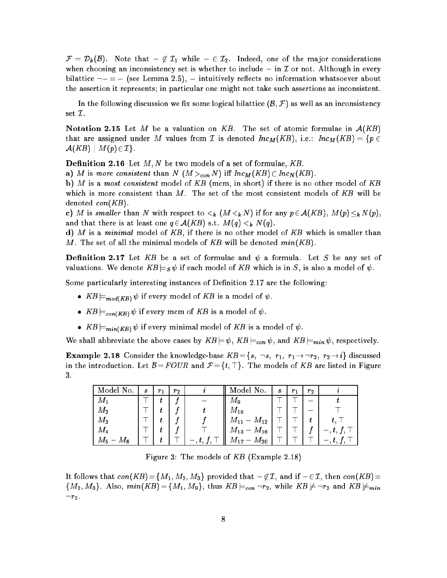$\mathcal{F} = \mathcal{D}_k(\mathcal{B}).$  Note that  $\bot\not\in \mathcal{I}_1$  while  $\bot\in \mathcal{I}_2.$  Indeed, one of the major considerations when choosing an inconsistency set is whether to include  $\perp$  in  $\mathcal I$  or not. Although in every bilattice  $\neg \bot = \bot$  (see Lemma 2.5),  $\bot$  intuitively reflects no information whatsoever about the assertion it represents; in particular one might not take such assertions as inconsistent.

In the following discussion we fix some logical bilattice  $(B, \mathcal{F})$  as well as an inconsistency set I.

**Notation 2.15** Let M be a valuation on KB. The set of atomic formulae in  $A(KB)$ that are assigned under M values from T is denoted  $Inc_M(KB)$ , i.e.:  $Inc_M(KB) = \{p \in X\}$  $\mathcal{A}(KB) \mid M(p) \in \mathcal{I}$ .

**Definition 2.16** Let  $M, N$  be two models of a set of formulae,  $KB$ .

a) M is more consistent than N  $(M >_{con} N)$  iff  $Inc_M(KB) \subset Inc_N(KB)$ .

b) M is a most consistent model of KB (mcm, in short) if there is no other model of KB which is more consistent than  $M$ . The set of the most consistent models of  $KB$  will be denoted  $con(KB)$ .

c) M is smaller than N with respect to  $\lt_k$   $(M \lt_k N)$  if for any  $p \in \mathcal{A}(KB)$ ,  $M(p) \leq_k N(p)$ and that there is at least one  $q \in \mathcal{A}(KB)$  s.t.  $M(q) <_{k} N(q)$ .

d) M is a minimal model of  $KB$ , if there is no other model of  $KB$  which is smaller than M. The set of all the minimal models of KB will be denoted  $min(KB)$ .

**Definition 2.17** Let KB be a set of formulae and  $\psi$  a formula. Let S be any set of valuations. We denote  $KB \models_S \psi$  if each model of KB which is in S, is also a model of  $\psi$ .

Some particularly interesting instances of Definition 2.17 are the following:

- $KB \models_{mod(KB)} \psi$  if every model of KB is a model of  $\psi$ .
- $KB \models_{con(KB)} \psi$  if every mcm of KB is a model of  $\psi$ .
- $KB \models_{min(KB)} \psi$  if every minimal model of KB is a model of  $\psi$ .

We shall abbreviate the above cases by  $KB \models \psi$ ,  $KB \models_{con} \psi$ , and  $KB \models_{min} \psi$ , respectively.

**Example 2.18** Consider the knowledge-base  $KB = \{s, \neg s, r_1, r_1 \rightarrow \neg r_2, r_2 \rightarrow i\}$  discussed in the introduction. Let  $\mathcal{B} = FOUR$  and  $\mathcal{F} = \{t, \top\}$ . The models of KB are listed in Figure 3.

| Model No.                | S | $r_{1}$ | $r_{2}$ | Model No.                    | S | $r_{1}$ | $r_{2}$ |   |
|--------------------------|---|---------|---------|------------------------------|---|---------|---------|---|
| $M_1$                    |   |         |         | $M_{\rm \, 9}$               |   |         |         |   |
| $M_2$                    |   |         |         | $M_{\rm 10}$                 |   |         |         |   |
| $M_3$                    |   |         |         | $M_{11} \perp M_{12}$        |   |         |         |   |
| $M_{4}$                  |   |         |         | $M_{\bf 13}\perp M_{\bf 16}$ |   |         |         | . |
| $M_{5}$ $\perp$<br>$M_8$ |   |         |         | $M_{17} \perp M_{20}$        |   |         |         |   |

Figure 3: The models of KB (Example 2.18)

It follows that  $con(KB) = \{M_1, M_2, M_3\}$  provided that  $\perp \not\in \mathcal{I}$ , and if  $\perp \in \mathcal{I}$ , then con(KB)=  ${M_2, M_3}$ . Also,  $min(KB) = {M_1, M_9}$ , thus  $KB \models_{con} \neg r_2$ , while  $KB \not\models \neg r_2$  and  $KB \not\models_{min}$  $\neg r_2$ .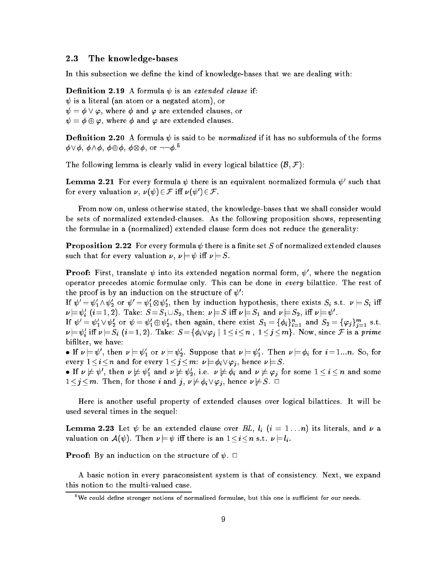#### 2.3 The knowledge-bases

In this subsection we define the kind of knowledge-bases that we are dealing with:

**Definition 2.19** A formula  $\psi$  is an extended clause if:  $\psi$  is a literal (an atom or a negated atom), or  $\psi = \phi \lor \varphi,$  where  $\phi$  and  $\varphi$  are extended clauses, or  $\psi = \phi \oplus \varphi$ , where  $\phi$  and  $\varphi$  are extended clauses.

**Definition 2.20** A formula  $\psi$  is said to be normalized if it has no subformula of the forms  $\phi \lor \phi, \, \phi \land \phi, \, \phi \oplus \phi, \, \phi \otimes \phi, \, \text{or} \, \, \neg \neg \phi \cdot^5$ 

The following lemma is clearly valid in every logical bilattice  $(\mathcal{B}, \mathcal{F})$ :

 ${\bf L}$ emma 2.21  $\,$  For every formula  $\psi\,$  there is an equivalent normalized formula  $\psi'$  such that for every valuation  $\nu$ ,  $\nu(\psi) \in \mathcal{F}$  iff  $\nu(\psi') \in \mathcal{F}$ .

From now on, unless otherwise stated, the knowledge-bases that we shall consider would be sets of normalized extended-clauses. As the following proposition shows, representing the formulae in a (normalized) extended clause form does not reduce the generality:

**Proposition 2.22** For every formula  $\psi$  there is a finite set S of normalized extended clauses such that for every valuation  $\nu, \nu \models \psi$  iff  $\nu \models S$ .

**Proof:** First, translate  $\psi$  into its extended negation normal form,  $\psi'$ , where the negation operator precedes atomic formulae only. This can be done in every bilattice. The rest of the proof is by an induction on the structure of  $\psi'$ :

If  $\psi' = \psi_1' \wedge \psi_2'$  or  $\psi' = \psi_1' \otimes \psi_2'$ , then by induction hypothesis, there exists  $S_i$  s.t.  $\nu \models S_i$  iff j= 0 <sup>i</sup> (i= 1; 2). Take: S =S1[S2, then: j=S <sup>i</sup> j=S1 and j=S2, i j= 0 .

If  $\psi' = \psi_1' \vee \psi_2'$  or  $\psi = \psi_1' \oplus \psi_2',$  then again, there exist  $S_1 = \{\phi_i\}_{i=1}^n$  and  $S_2 = \{\varphi_j\}_{j=1}^m$  s.t.  $i \nu \models \psi'_i$  iff  $\nu \models S_i$   $(i=1,2)$ . Take:  $S \! =\! \{\phi_i \lor \varphi_j \mid 1 \leq i \leq n\; , \; 1 \leq j \leq m\}$ . Now, since  ${\cal F}$  is a prime bilter, we have:

If  $\nu \models \psi'$ , then  $\nu \models \psi'_1$  or  $\nu \models \psi'_2$ . Suppose that  $\nu \models \psi'_1$ . Then  $\nu \models \phi_i$  for  $i = 1...n$ . So, for every  $1\leq i\leq n$  and for every  $1\leq j\leq m: \nu\models \phi_i\vee \varphi_j$ , hence  $\nu\models S$ .

• If  $\nu\not\models\psi',$  then  $\nu\not\models\psi_1'$  and  $\nu\not\models\psi_2'$ , i.e.  $\nu\not\models\phi_i$  and  $\nu\not\models\varphi_j$  for some  $1\leq i\leq n$  and some  $1\leq j\leq m$ . Then, for those i and  $j, \nu\not\models \phi_i \vee \varphi_j$ , hence  $\nu\not\models S$ .  $\Box$ 

Here is another useful property of extended clauses over logical bilattices. It will be used several times in the sequel:

**Lemma 2.23** Let  $\psi$  be an extended clause over BL,  $l_i$   $(i = 1 \ldots n)$  its literals, and  $\nu$  a valuation on  $\mathcal{A}(\psi)$ . Then  $\nu \models \psi$  iff there is an  $1 \leq i \leq n$  s.t.  $\nu \models l_i$ .

**Proof:** By an induction on the structure of  $\psi$ .  $\Box$ 

A basic notion in every paraconsistent system is that of consistency. Next, we expand this notion to the multi-valued case.

 $\overline{\text{5}}$ We could define stronger notions of normalized formulae, but this one is sufficient for our needs.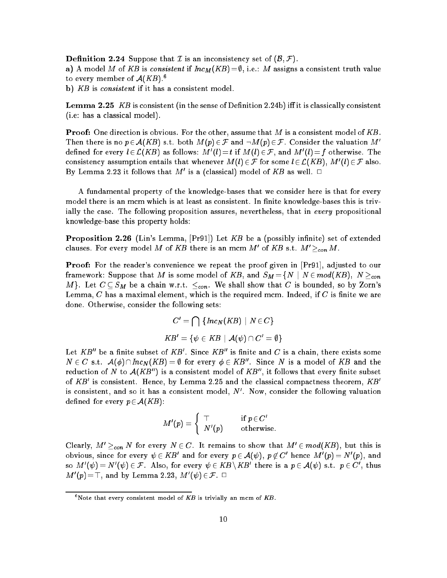**Definition 2.24** Suppose that  $\mathcal I$  is an inconsistency set of  $(\mathcal B, \mathcal F)$ . a) A model M of KB is consistent if  $Inc_M(KB)=\emptyset$ , i.e.: M assigns a consistent truth value to every member of  $A(KB)$ .<sup>6</sup> b) KB is consistent if it has a consistent model.

**Lemma 2.25** KB is consistent (in the sense of Definition 2.24b) iff it is classically consistent (i.e: has a classical model).

**Proof:** One direction is obvious. For the other, assume that M is a consistent model of KB. Then there is no  $p \in \mathcal{A}(KB)$  s.t. both  $M(p) \in \mathcal{F}$  and  $\neg M(p) \in \mathcal{F}$ . Consider the valuation  $M'$ defined for every  $l\in \mathcal{L}(KB)$  as follows:  $M'(l)\!=\!t$  if  $M(l)\!\in\!\mathcal{F},$  and  $M'(l)\!=\!f$  otherwise. The consistency assumption entails that whenever  $M(l) \in \mathcal{F}$  for some  $l \in \mathcal{L}(KB)$ ,  $M'(l) \in \mathcal{F}$  also. By Lemma 2.23 it follows that  $M'$  is a (classical) model of  $KB$  as well.  $\Box$ 

A fundamental property of the knowledge-bases that we consider here is that for every model there is an mcm which is at least as consistent. In finite knowledge-bases this is trivially the case. The following proposition assures, nevertheless, that in every propositional knowledge-base this property holds:

**Proposition 2.26** (Lin's Lemma, [Pr91]) Let  $KB$  be a (possibly infinite) set of extended clauses. For every model M of KB there is an mcm M' of KB s.t.  $M' >_{con} M$ .

**Proof:** For the reader's convenience we repeat the proof given in [Pr91], adjusted to our framework: Suppose that  $M$  is some model of  $KB,$  and  $S_M\!=\!\{N\mid N\!\in\! mod(KB),\ N\geq_{con}$ M}. Let  $C \subseteq S_M$  be a chain w.r.t.  $\leq_{con}$ . We shall show that C is bounded, so by Zorn's Lemma,  $C$  has a maximal element, which is the required mcm. Indeed, if  $C$  is finite we are done. Otherwise, consider the following sets:

$$
C' = \bigcap \{ Inc_N(KB) \mid N \in C \}
$$
  

$$
KB' = \{ \psi \in KB \mid \mathcal{A}(\psi) \cap C' = \emptyset \}
$$

Let  $KB''$  be a finite subset of  $KB'$ . Since  $KB''$  is finite and  $C$  is a chain, there exists some  $N \in C$  s.t.  $\mathcal{A}(\phi) \cap Inc_N(KB) = \emptyset$  for every  $\phi \in KB''.$  Since N is a model of  $KB$  and the reduction of N to  $A(KB'')$  is a consistent model of  $KB''$ , it follows that every finite subset of  $KB'$  is consistent. Hence, by Lemma 2.25 and the classical compactness theorem,  $KB'$ is consistent, and so it has a consistent model,  $N'$ . Now, consider the following valuation defined for every  $p \in \mathcal{A}(KB)$ :

$$
M'(p) = \left\{ \begin{array}{ll} \top & \text{if } p \in C' \\ N'(p) & \text{otherwise.} \end{array} \right.
$$

Clearly,  $M' >_{con} N$  for every  $N \in C$ . It remains to show that  $M' \in mod(KB)$ , but this is obvious, since for every  $\psi \in KB'$  and for every  $p \in \mathcal{A}(\psi)$ ,  $p \not\in C'$  hence  $M'(p) = N'(p)$ , and so  $M'(\psi)=N'(\psi)\in\mathcal{F}.$  Also, for every  $\psi\in KB\setminus KB'$  there is a  $p\in\mathcal{A}(\psi)$  s.t.  $p\in C',$  thus  $M^{\prime}(p)\!=\! \top,$  and by Lemma 2.23,  $M^{\prime}(\psi)\!\in\!\mathcal{F}.~\square$ 

 $^{\circ}$ Note that every consistent model of  $KB$  is trivially an mcm of  $KB.$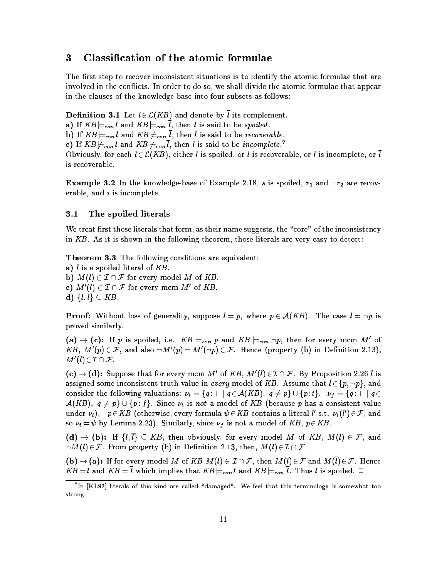## 3 Classication of the atomic formulae

The first step to recover inconsistent situations is to identify the atomic formulae that are involved in the conflicts. In order to do so, we shall divide the atomic formulae that appear in the clauses of the knowledge-base into four subsets as follows:

**Definition 3.1** Let  $l \in \mathcal{L}(KB)$  and denote by  $\overline{l}$  its complement. a) If  $KB \models_{con} l$  and  $KB \models_{con} \overline{l}$ , then l is said to be spoiled. b) If  $KB \models_{con} l$  and  $KB \not\models_{con} \overline{l}$ , then l is said to be recoverable. c) If  $KB \not\models_{con} l$  and  $KB \not\models_{con} l$ , then l is said to be *incomplete*. Obviously, for each  $l \in \mathcal{L}(KB)$ , either l is spoiled, or l is recoverable, or l is incomplete, or l is recoverable.

**Example 3.2** In the knowledge-base of Example 2.18, s is spoiled,  $r_1$  and  $\neg r_2$  are recoverable, and  $i$  is incomplete.

#### 3.1 The spoiled literals

We treat first those literals that form, as their name suggests, the "core" of the inconsistency in KB. As it is shown in the following theorem, those literals are very easy to detect:

Theorem 3.3 The following conditions are equivalent:

a) *l* is a spoiled literal of  $KB$ . b)  $M(l) \in \mathcal{I} \cap \mathcal{F}$  for every model M of KB. c)  $M'(l) \in \mathcal{I} \cap \mathcal{F}$  for every mcm  $M'$  of KB. d)  $\{l, l\} \subseteq KB$ .

**Proof:** Without loss of generality, suppose  $l = p$ , where  $p \in A(KB)$ . The case  $l = \neg p$  is proved similarly.

 $\mathbf{a}(\mathbf{a}) \to (\mathbf{c})$ : If p is spoiled, i.e.  $KB \models_{con} p$  and  $KB \models_{con} \neg p$ , then for every mcm M' of  $KB, M'(p) \in \mathcal{F}, \text{ and also } \neg M'(p) = M'(\neg p) \in \mathcal{F}.$  Hence (property (b) in Definition 2.13),  $M'(l) \in \mathcal{I} \cap \mathcal{F}$  .

 $\mathcal{L}(\mathbf{c}) \to (\mathbf{d})$ : Suppose that for every mcm  $M'$  of KB,  $M'(l) \in \mathcal{I} \cap \mathcal{F}$ . By Proposition 2.26 l is assigned some inconsistent truth value in every model of KB. Assume that  $l \in \{p, \neg p\}$ , and consider the following valuations:  $\nu_t = \{q : \top \mid q \in \mathcal{A}(KB), q \neq p\} \cup \{p : t\}, \nu_f = \{q : \top \mid q \in \mathcal{A}(FB), q \neq p\}$  $\mathcal{A}(KB)$ ,  $q \neq p$   $\cup$  { $p : f$ }. Since  $\nu_t$  is not a model of KB (because p has a consistent value under  $\nu_t),\ \neg p\!\in\! KB$  (otherwise, every formula  $\psi\!\in\! KB$  contains a literal  $l'$  s.t.  $\nu_t(l')\!\in\! \mathcal{F},$  and so  $\nu_t \models \psi$  by Lemma 2.23). Similarly, since  $\nu_f$  is not a model of KB,  $p \in KB$ .

 $(d) \rightarrow (b)$ : If  $\{l,\overline{l}\}\subseteq KB$ , then obviously, for every model M of KB,  $M(l) \in \mathcal{F}$ , and  $-M(l) \in \mathcal{F}$ . From property (b) in Definition 2.13, then,  $M(l) \in \mathcal{I} \cap \mathcal{F}$ .

 $\mathbf{(b)} \to \mathbf{(a)}$ : If for every model M of KB  $M(l) \in \mathcal{I} \cap \mathcal{F}$ , then  $M(l) \in \mathcal{F}$  and  $M(l) \in \mathcal{F}$ . Hence  $KB \models l$  and  $KB \models \overline{l}$  which implies that  $KB \models_{con} l$  and  $KB \models_{con} \overline{l}$ . Thus l is spoiled.  $\Box$ 

<sup>7</sup> In [KL92] literals of this kind are called \damaged". We feel that this terminology is somewhat too strong.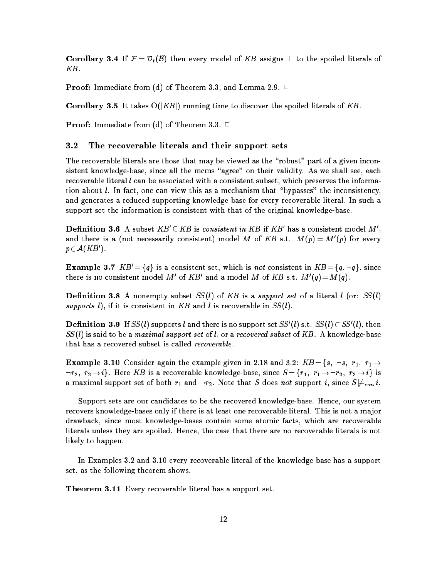**Corollary 3.4** If  $\mathcal{F} = \mathcal{D}_t(\mathcal{B})$  then every model of KB assigns  $\top$  to the spoiled literals of KB.

**Proof:** Immediate from (d) of Theorem 3.3, and Lemma 2.9.  $\Box$ 

**Corollary 3.5** It takes  $O(|KB|)$  running time to discover the spoiled literals of KB.

**Proof:** Immediate from (d) of Theorem 3.3.  $\Box$ 

#### 3.2 The recoverable literals and their support sets

The recoverable literals are those that may be viewed as the "robust" part of a given inconsistent knowledge-base, since all the mcms "agree" on their validity. As we shall see, each recoverable literal  $l$  can be associated with a consistent subset, which preserves the information about  $l$ . In fact, one can view this as a mechanism that "bypasses" the inconsistency, and generates a reduced supporting knowledge-base for every recoverable literal. In such a support set the information is consistent with that of the original knowledge-base.

**Definition 3.6** A subset  $KB' \subset KB$  is consistent in KB if KB' has a consistent model M', and there is a (not necessarily consistent) model  $M$  of  $KB$  s.t.  $M(p) = M'(p)$  for every  $p\in \mathcal{A}(KB^{\prime}).$ 

**Example 3.7**  $KB' = \{q\}$  is a consistent set, which is not consistent in  $KB = \{q, \neg q\}$ , since there is no consistent model  $M'$  of  $KB'$  and a model  $M$  of  $KB$  s.t.  $M'(q)$   $=$   $M(q)$  .

**Definition 3.8** A nonempty subset  $SS(l)$  of KB is a support set of a literal l (or:  $SS(l)$ ) supports l), if it is consistent in KB and l is recoverable in  $SS(l)$ .

**Definition 3.9** If SS(l) supports l and there is no support set SS'(l) s.t. SS(l)  $\subset$  SS'(l), then  $SS(l)$  is said to be a maximal support set of l, or a recovered subset of KB. A knowledge-base that has a recovered subset is called recoverable.

**Example 3.10** Consider again the example given in 2.18 and 3.2:  $KB = \{s, \neg s, r_1, r_1 \rightarrow$  $\lnot r_2, r_2 \to i$ . Here KB is a recoverable knowledge-base, since  $S = \{r_1, r_1 \to \neg r_2, r_2 \to i\}$  is a maximal support set of both  $r_1$  and  $\neg r_2$ . Note that S does not support i, since  $S \not\models_{con} i$ .

Support sets are our candidates to be the recovered knowledge-base. Hence, our system recovers knowledge-bases only if there is at least one recoverable literal. This is not a ma jor drawback, since most knowledge-bases contain some atomic facts, which are recoverable literals unless they are spoiled. Hence, the case that there are no recoverable literals is not likely to happen.

In Examples 3.2 and 3.10 every recoverable literal of the knowledge-base has a support set, as the following theorem shows.

Theorem 3.11 Every recoverable literal has a support set.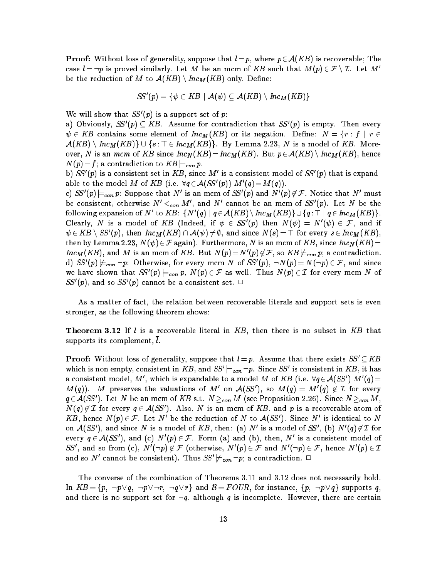**Proof:** Without loss of generality, suppose that  $l = p$ , where  $p \in A(KB)$  is recoverable; The case  $l = \neg p$  is proved similarly. Let M be an mcm of KB such that  $M(p) \in \mathcal{F} \setminus \mathcal{I}$ . Let M' be the reduction of M to  $A(KB) \setminus Inc_M(KB)$  only. Define:

$$
SS'(p) = \{ \psi \in KB \mid \mathcal{A}(\psi) \subseteq \mathcal{A}(KB) \setminus \mathit{Inc}_M(KB) \}
$$

We will show that  $SS'(p)$  is a support set of p:

a) Obviously,  $SS'(p) \subseteq KB$ . Assume for contradiction that  $SS'(p)$  is empty. Then every  $\psi \in KB$  contains some element of  $Inc_M(KB)$  or its negation. Define:  $N = \{r : f | r \in$  $\mathcal{A}(KB) \setminus Inc_M(KB)\} \cup \{s : \top \in Inc_M(KB)\}.$  By Lemma 2.23, N is a model of KB. Moreover, N is an mcm of KB since  $Inc_N(KB)=Inc_M(KB)$ . But  $p\in \mathcal{A}(KB)\setminus Inc_M(KB)$ , hence  $N(p)\!=\!f;$  a contradiction to  $KB|_{\!=\!con}\,p.$ 

b)  $SS'(p)$  is a consistent set in KB, since M' is a consistent model of  $SS'(p)$  that is expandable to the model M of KB (i.e.  $\forall q \in A(SS'(p)) M'(q) = M(q)$ ).

c)  $SS'(p) \models_{con} p$ : Suppose that N' is an mcm of  $SS'(p)$  and  $N'(p) \not\in \mathcal{F}$ . Notice that N' must be consistent, otherwise  $N' <_{con} M'$ , and  $N'$  cannot be an mcm of  $SS'(p)$ . Let  $N$  be the following expansion of N' to KB: {N'(q) |  $q \in \mathcal{A}(KB) \setminus Inc_M(KB) \setminus \cup \{q : \top \mid q \in Inc_M(KB)\}.$ Clearly, N is a model of KB (Indeed, if  $\psi\, \in\, S\hskip-2pt S'(p)$  then  $N(\psi) \,=\, N'(\psi)\, \in\, {\mathcal F},$  and if  $\psi\in KB\setminus SS'(p),$  then  $Inc_M(KB)\cap \mathcal{A}(\psi)\neq \emptyset,$  and since  $N(s)=\top$  for every  $s\in Inc_M(KB),$ then by Lemma 2.23,  $N(\psi) \in \mathcal{F}$  again). Furthermore, N is an mcm of KB, since  $Inc_N(KB)=$  $Inc_M(KB)$ , and M is an mcm of  $KB$ . But  $N(p) = N'(p) \not\in \mathcal{F}$ , so  $KB \not\models_{con} p$ ; a contradiction. d)  $SS'(p)\not \models_{con}\neg p:$  Otherwise, for every mcm  $N$  of  $SS'(p),\,\neg N(p)\!=\!N(\neg p)\in \mathcal{F},$  and since we have shown that  $SS'(p) \models_{con} p, N(p) \in \mathcal{F}$  as well. Thus  $N(p) \in \mathcal{I}$  for every mcm N of  $SS'(p)$ , and so  $SS'(p)$  cannot be a consistent set.  $\Box$ 

As a matter of fact, the relation between recoverable literals and support sets is even stronger, as the following theorem shows:

**Theorem 3.12** If  $l$  is a recoverable literal in  $KB$ , then there is no subset in  $KB$  that supports its complement,  $l$ .

**Proof:** Without loss of generality, suppose that  $l = p$ . Assume that there exists  $SS' \subset KB$ which is non empty, consistent in KB, and  $SS'|_{\equiv con \neg p}$ . Since SS' is consistent in KB, it has a consistent model, M', which is expandable to a model M of KB (i.e.  $\forall q \in A(SS') M'(q)$  =  $M(q)$ ). M preserves the valuations of  $M'$  on  $\mathcal{A}(SS')$ , so  $M(q) = M'(q) \not\in \mathcal{I}$  for every  $q\in\mathcal{A}(SS')$ . Let  $N$  be an mcm of  $KB$  s.t.  $N\geq_{con}M$  (see Proposition 2.26). Since  $N\geq_{con}M$  ,  $N(q)\not\in\mathcal{I}$  for every  $q\in\mathcal{A}(SS')$  . Also,  $N$  is an mcm of  $KB,$  and  $p$  is a recoverable atom of  $KB,$  hence  $N(p) \in \mathcal{F}.$  Let  $N'$  be the reduction of  $N$  to  $\mathcal{A}(SS').$  Since  $N'$  is identical to  $N$ on  $\mathcal{A}(SS')$ , and since N is a model of KB, then: (a) N' is a model of SS', (b)  $N'(q) \not\in \mathcal{I}$  for every  $q \in \mathcal{A}(SS')$ , and (c)  $N'(p) \in \mathcal{F}$ . Form (a) and (b), then,  $N'$  is a consistent model of SS', and so from (c),  $N'(\neg p) \not\in \mathcal{F}$  (otherwise,  $N'(p) \in \mathcal{F}$  and  $N'(\neg p) \in \mathcal{F}$ , hence  $N'(p) \in \mathcal{I}$ and so  $N'$  cannot be consistent). Thus  $SS'\not\models_{con}\neg p;$  a contradiction.  $\Box$ 

The converse of the combination of Theorems 3.11 and 3.12 does not necessarily hold. In  $KB = \{p, \neg p \lor q, \neg p \lor \neg r, \neg q \lor r\}$  and  $B = FOUR$ , for instance,  $\{p, \neg p \lor q\}$  supports q, and there is no support set for  $\neg q$ , although q is incomplete. However, there are certain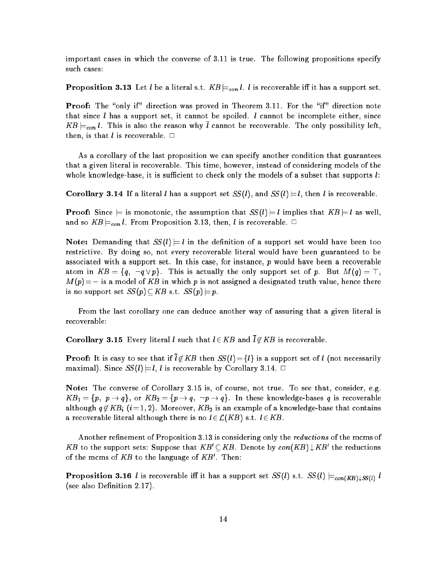important cases in which the converse of 3.11 is true. The following propositions specify such cases:

**Proposition 3.13** Let *l* be a literal s.t.  $KB \models_{con} l$ . *l* is recoverable iff it has a support set.

**Proof:** The "only if" direction was proved in Theorem 3.11. For the "if" direction note that since  $l$  has a support set, it cannot be spoiled.  $l$  cannot be incomplete either, since  $KB \models_{con} l$ . This is also the reason why  $\overline{l}$  cannot be recoverable. The only possibility left, then, is that *l* is recoverable.  $\Box$ 

As a corollary of the last proposition we can specify another condition that guarantees that a given literal is recoverable. This time, however, instead of considering models of the whole knowledge-base, it is sufficient to check only the models of a subset that supports  $l$ :

Corollary 3.14 If a literal l has a support set  $SS(l)$ , and  $SS(l) = l$ , then l is recoverable.

**Proof:** Since  $\models$  is monotonic, the assumption that  $SS(l) \models l$  implies that  $KB \models l$  as well, and so  $KB \models_{con} l$ . From Proposition 3.13, then, l is recoverable.  $\Box$ 

**Note:** Demanding that  $SS(l) \models l$  in the definition of a support set would have been too restrictive. By doing so, not every recoverable literal would have been guaranteed to be associated with a support set. In this case, for instance,  $p$  would have been a recoverable atom in  $KB = \{q, \neg q \vee p\}$ . This is actually the only support set of p. But  $M(q) = \top$ ,  $M(p)\!=\! \bot$  is a model of  $KB$  in which  $p$  is not assigned a designated truth value, hence there is no support set  $SS(p) \subset KB$  s.t.  $SS(p) \models p$ .

From the last corollary one can deduce another way of assuring that a given literal is recoverable:

**Corollary 3.15** Every literal *l* such that  $l \in KB$  and  $\overline{l} \notin KB$  is recoverable.

**Proof:** It is easy to see that if  $\overline{l} \notin KB$  then  $SS(l) = \{l\}$  is a support set of l (not necessarily maximal). Since  $SS(l) \models l, l$  is recoverable by Corollary 3.14.  $\Box$ 

Note: The converse of Corollary 3.15 is, of course, not true. To see that, consider, e.g.  $KB_1 = \{p, p \rightarrow q\}, \text{ or } KB_2 = \{p \rightarrow q, \neg p \rightarrow q\}.$  In these knowledge-bases q is recoverable although  $q \notin KB_i$   $(i=1, 2)$ . Moreover,  $KB_2$  is an example of a knowledge-base that contains a recoverable literal although there is no  $l \in \mathcal{L}(KB)$  s.t.  $l \in KB$ .

Another refinement of Proposition 3.13 is considering only the *reductions* of the mcms of KB to the support sets: Suppose that  $KB' \subseteq KB$ . Denote by  $con(KB) \downarrow KB'$  the reductions of the mcms of  $KB$  to the language of  $KB'$ . Then:

**Proposition 3.16** l is recoverable iff it has a support set  $SS(l)$  s.t.  $SS(l) \models_{con(KB) \downarrow SS(l)} l$ (see also Definition 2.17).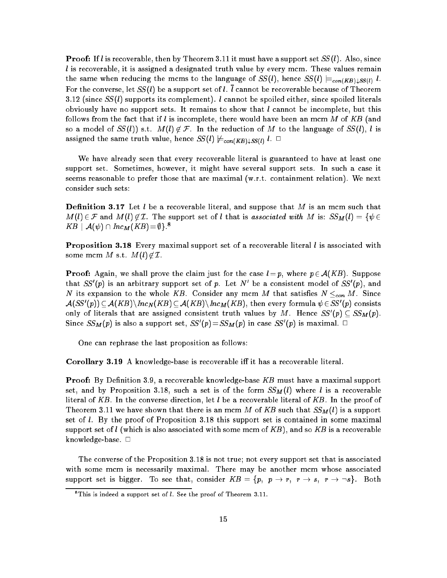**Proof:** If *l* is recoverable, then by Theorem 3.11 it must have a support set  $SS(l)$ . Also, since  $l$  is recoverable, it is assigned a designated truth value by every mcm. These values remain the same when reducing the mcms to the language of  $SS(l)$ , hence  $SS(l) \models_{con(KB) \downarrow SS(l)} l$ . For the converse, let  $SS(l)$  be a support set of l. l cannot be recoverable because of Theorem 3.12 (since  $SS(l)$  supports its complement). *l* cannot be spoiled either, since spoiled literals obviously have no support sets. It remains to show that  $l$  cannot be incomplete, but this follows from the fact that if l is incomplete, there would have been an mcm M of KB (and so a model of  $SS(l)$  s.t.  $M(l) \notin \mathcal{F}$ . In the reduction of M to the language of  $SS(l)$ , l is assigned the same truth value, hence  $SS(l) \not\models_{con(KB)\downarrow SS(l)} l$ .  $\Box$ 

We have already seen that every recoverable literal is guaranteed to have at least one support set. Sometimes, however, it might have several support sets. In such a case it seems reasonable to prefer those that are maximal (w.r.t. containment relation). We next consider such sets:

**Definition 3.17** Let l be a recoverable literal, and suppose that M is an mcm such that  $M(l) \in \mathcal{F}$  and  $M(l) \notin \mathcal{I}$ . The support set of *l* that is associated with M is:  $SS_M(l) = \{ \psi \in \mathcal{I} \}$  $KB \mid \mathcal{A}(\psi) \cap \mathit{Inc}_M(KB)\! =\! \emptyset\}$ .

**Proposition 3.18** Every maximal support set of a recoverable literal  $l$  is associated with some mcm M s.t.  $M(l) \notin \mathcal{I}$ .

**Proof:** Again, we shall prove the claim just for the case  $l = p$ , where  $p \in A(KB)$ . Suppose that  $SS'(p)$  is an arbitrary support set of p. Let N' be a consistent model of  $SS'(p)$ , and N its expansion to the whole KB. Consider any mcm M that satisfies  $N \leq_{con} M$ . Since  $\mathcal{A}(SS'(p))\subseteq\mathcal{A}(KB)\backslash Inc_N(KB)\subseteq\mathcal{A}(KB)\backslash Inc_M(KB),$  then every formula  $\psi\in SS'(p)$  consists only of literals that are assigned consistent truth values by  $M$ . Hence  $SS'(p)\subseteq SS_{M}(p).$ Since  $\textit{SS}_M(p)$  is also a support set,  $\textit{SS}'(p)\!=\!\textit{SS}_M(p)$  in case  $\textit{SS}'(p)$  is maximal.  $\Box$ 

One can rephrase the last proposition as follows:

Corollary 3.19 A knowledge-base is recoverable iff it has a recoverable literal.

**Proof:** By Definition 3.9, a recoverable knowledge-base  $KB$  must have a maximal support set, and by Proposition 3.18, such a set is of the form  $SS_M(l)$  where l is a recoverable literal of KB. In the converse direction, let  $l$  be a recoverable literal of KB. In the proof of Theorem 3.11 we have shown that there is an mcm M of KB such that  $SS_M(l)$  is a support set of  $l$ . By the proof of Proposition 3.18 this support set is contained in some maximal support set of l (which is also associated with some mcm of  $KB$ ), and so  $KB$  is a recoverable knowledge-base.  $\square$ 

The converse of the Proposition 3.18 is not true; not every support set that is associated with some mcm is necessarily maximal. There may be another mcm whose associated support set is bigger. To see that, consider  $KB = \{p, p \rightarrow r, r \rightarrow s, r \rightarrow \neg s\}$ . Both

 $\textdegree$ This is indeed a support set of  $l.$  See the proof of Theorem 3.11.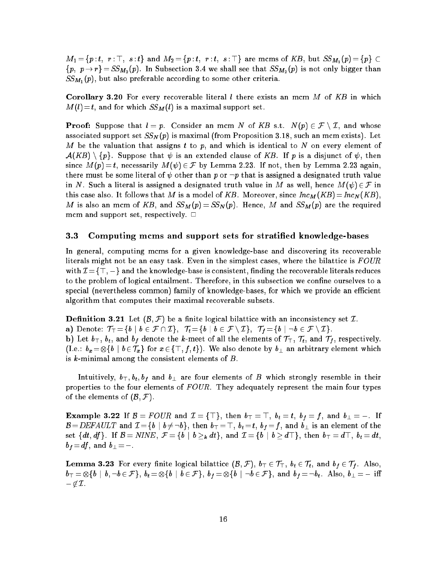$M_1\!=\!\{p\!:\!t, \:\:r:\top, \:\:s:t\}$  and  $M_2\!=\!\{p\!:\!t, \:\:r:t, \:\:s:\top\}$  are mcms of  $KB,$  but  $SS_{M_1}(p)\!=\!\{p\}\subset\!\{p\}$  ${p, p \rightarrow r} = SS_{M_2}(p)$ . In Subsection 3.4 we shall see that  $SS_{M_2}(p)$  is not only bigger than  $SS_{M_1}(p)$ , but also preferable according to some other criteria.

**Corollary 3.20** For every recoverable literal l there exists an mcm M of KB in which  $M(l)=t$ , and for which  $SS_M(l)$  is a maximal support set.

**Proof:** Suppose that  $l = p$ . Consider an mcm N of KB s.t.  $N(p) \in \mathcal{F} \setminus \mathcal{I}$ , and whose associated support set  $SS_N(p)$  is maximal (from Proposition 3.18, such an mcm exists). Let M be the valuation that assigns t to p, and which is identical to N on every element of  $\mathcal{A}(KB) \setminus \{p\}$ . Suppose that  $\psi$  is an extended clause of KB. If p is a disjunct of  $\psi$ , then since  $M(p) = t$ , necessarily  $M(\psi) \in \mathcal{F}$  by Lemma 2.23. If not, then by Lemma 2.23 again, there must be some literal of  $\psi$  other than p or  $\neg p$  that is assigned a designated truth value in N. Such a literal is assigned a designated truth value in M as well, hence  $M(\psi) \in \mathcal{F}$  in this case also. It follows that M is a model of KB. Moreover, since  $Inc_M(KB)=Inc_N(KB)$ , M is also an mcm of KB, and  $SS_M(p) = SS_N(p)$ . Hence, M and  $SS_M(p)$  are the required mcm and support set, respectively.  $\Box$ 

#### 3.3 Computing mcms and support sets for stratied knowledge-bases

In general, computing mcms for a given knowledge-base and discovering its recoverable literals might not be an easy task. Even in the simplest cases, where the bilattice is  $FOUR$ with  $\mathcal{I} = \{\top, \bot\}$  and the knowledge-base is consistent, finding the recoverable literals reduces to the problem of logical entailment. Therefore, in this subsection we confine ourselves to a special (nevertheless common) family of knowledge-bases, for which we provide an efficient algorithm that computes their maximal recoverable subsets.

**Definition 3.21** Let  $(\mathcal{B}, \mathcal{F})$  be a finite logical bilattice with an inconsistency set  $\mathcal{I}$ . a) Denote:  $\mathcal{T}_\top = \{b \mid b \in \mathcal{F} \cap \mathcal{I}\}, \ \mathcal{T}_t = \{b \mid b \in \mathcal{F} \setminus \mathcal{I}\}, \ \mathcal{T}_f = \{b \mid \neg b \in \mathcal{F} \setminus \mathcal{I}\}.$ b) Let  $b_{\top}$ ,  $b_t$ , and  $b_f$  denote the k-meet of all the elements of  $\mathcal{T}_{\top}$ ,  $\mathcal{T}_t$ , and  $\mathcal{T}_f$ , respectively. (I.e.:  $b_x = \otimes \{b \mid b \in \mathcal{T}_x\}$  for  $x \in \{\top, f, t\}$ ). We also denote by  $b_\bot$  an arbitrary element which is  $k$ -minimal among the consistent elements of  $B$ .

Intuitively,  $b_{\top}, b_t, b_f$  and  $b_{\perp}$  are four elements of B which strongly resemble in their properties to the four elements of  $FOUR$ . They adequately represent the main four types of the elements of  $(\mathcal{B}, \mathcal{F})$ .

**Example 3.22** If  $\mathcal{B} = \textit{FOUR}$  and  $\mathcal{I} = \{\top\},$  then  $b_\top = \top, \; b_t = t, \; b_f = f, \; \text{and} \; b_\bot = \bot$ . If  $\mathcal{B} = DEFAULT$  and  $\mathcal{I} = \{b \mid b \neq \neg b\}$ , then  $b_{\top} = \top$ ,  $b_t = t$ ,  $b_f = f$ , and  $b_{\bot}$  is an element of the set  $\{dt,df\}$ . If  $\mathcal{B}=NINE,~\mathcal{F}=\{b\mid b\geq_{\bm{k}}dt\},$  and  $\mathcal{I}=\{b\mid b\geq d\top\},$  then  $b_\top=d\top,~b_t=dt,$  $b_f\!=\!df,$  and  $b_\perp\!=\!\perp$  .

**Lemma 3.23** For every finite logical bilattice  $(\mathcal{B},\mathcal{F}),\,b_\top\in\mathcal{T}_\top,\,b_t\in\mathcal{T}_t,\,$  and  $b_f\in\mathcal{T}_f.$  Also,  $\{b_\top=\otimes\{b\,\mid\,b,\neg b\in\mathcal{F}\},\ b_t=\otimes\{b\,\mid\,b\in\mathcal{F}\},\ b_f=\otimes\{b\,\mid\,\neg b\in\mathcal{F}\},\ \text{and}\ b_f=\neg b_t.\ \ \text{Also,}\ b_\bot=\bot\ \text{iff}\$  $\bot\not\in\mathcal{I}$ .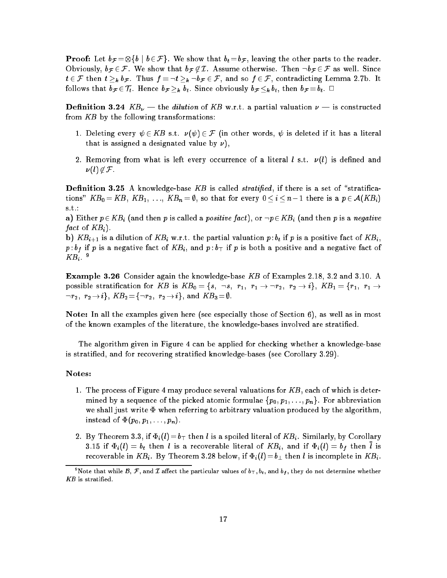**Proof:** Let  $b_{\mathcal{F}} = \otimes \{b \mid b \in \mathcal{F}\}\$ . We show that  $b_t = b_{\mathcal{F}}$ , leaving the other parts to the reader. Obviously,  $b_{\mathcal{F}} \in \mathcal{F}$ . We show that  $b_{\mathcal{F}} \notin \mathcal{I}$ . Assume otherwise. Then  $\neg b_{\mathcal{F}} \in \mathcal{F}$  as well. Since  $t \in \mathcal{F}$  then  $t \geq_k b_{\mathcal{F}}$ . Thus  $f = \neg t \geq_k \neg b_{\mathcal{F}} \in \mathcal{F}$ , and so  $f \in \mathcal{F}$ , contradicting Lemma 2.7b. It follows that  $b_{\mathcal{F}} \in \mathcal{T}_t$ . Hence  $b_{\mathcal{F}} \geq_k b_t$ . Since obviously  $b_{\mathcal{F}} \leq_k b_t$ , then  $b_{\mathcal{F}} = b_t$ .  $\Box$ 

**Definition 3.24**  $KB_{\nu}$  — the dilution of KB w.r.t. a partial valuation  $\nu$  — is constructed from KB by the following transformations:

- 1. Deleting every  $\psi \in KB$  s.t.  $\nu(\psi) \in \mathcal{F}$  (in other words,  $\psi$  is deleted if it has a literal that is assigned a designated value by  $\nu$ ),
- 2. Removing from what is left every occurrence of a literal  $l$  s.t.  $\nu(l)$  is defined and  $\nu(l) \notin \mathcal{F}$ .

**Definition 3.25** A knowledge-base KB is called *stratified*, if there is a set of "stratifications"  $KB_0 = KB, KB_1, \ldots, KB_n = \emptyset$ , so that for every  $0 \le i \le n \perp 1$  there is a  $p \in \mathcal{A}(KB_i)$ s.t.:

a) Either  $p \in KB_i$  (and then p is called a positive fact), or  $\neg p \in KB_i$  (and then p is a negative fact of  $KB_i$ ).

b)  $KB_{i+1}$  is a dilution of  $KB_i$  w.r.t. the partial valuation  $p:b_t$  if p is a positive fact of  $KB_i$ ,  $p:b_f$  if p is a negative fact of  $KB_i$ , and  $p:b_{\top}$  if p is both a positive and a negative fact of  $\mathit{KB}_i.$   $\degree$ 

Example 3.26 Consider again the knowledge-base KB of Examples 2.18, 3.2 and 3.10. A possible stratification for KB is  $KB_0 = \{s, \neg s, r_1, r_1 \rightarrow \neg r_2, r_2 \rightarrow i\}, KB_1 = \{r_1, r_1 \rightarrow \neg r_2, r_2 \rightarrow \neg r_1\}$  $\lnot r_2,\,\,r_2\!\rightarrow\!i\},\, KB_2\!=\!\{\lnot r_2,\,\,r_2\!\rightarrow\!i\}, \,\text{and}\,\, KB_3\!=\!\emptyset\,.$ 

Note: In all the examples given here (see especially those of Section 6), as well as in most of the known examples of the literature, the knowledge-bases involved are stratied.

The algorithm given in Figure 4 can be applied for checking whether a knowledge-base is stratied, and for recovering stratied knowledge-bases (see Corollary 3.29).

#### Notes:

- 1. The process of Figure 4 may produce several valuations for  $KB$ , each of which is determined by a sequence of the picked atomic formulae  $\{p_0, p_1, \ldots, p_n\}$ . For abbreviation we shall just write  $\Phi$  when referring to arbitrary valuation produced by the algorithm, instead of  $\Phi(p_0, p_1, \ldots, p_n)$ .
- 2. By Theorem 3.3, if  $\Phi_i(l)=b_{\top}$  then l is a spoiled literal of  $KB_i$ . Similarly, by Corollary 3.15 if  $\Phi_i(l) = b_t$  then l is a recoverable literal of  $KB_i$ , and if  $\Phi_i(l) = b_t$  then l is recoverable in  $KB_i$ . By Theorem 3.28 below, if  $\Phi_i(l) = b_{\perp}$  then l is incomplete in  $KB_i$ .

<sup>&</sup>quot;Note that while  $\mathcal{B},\,\mathcal{F},$  and  $\mathcal{I}$  affect the particular values of  $b_\top,b_t,$  and  $b_f,$  they do not determine whether  $KB$  is stratified.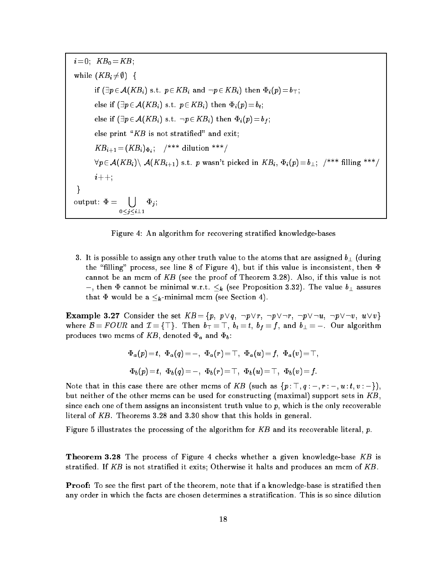$i=0; K B_0 = K B;$ while  $(KB_i \neq \emptyset)$  { if  $(\exists p\!\in\!\mathcal{A}(KB_i)$  s.t.  $p\!\in\! KB_i$  and  $\neg p\!\in\! KB_i)$  then  $\Phi_i(p)\!=\!b_\top;$ else if  $(\exists p\!\in\!\mathcal{A}(KB_i)$  s.t.  $p\!\in\! KB_i)$  then  $\Phi_i(p)\!=\!b_t;$ else if  $(\exists p\!\in\!\mathcal{A}(KB_i)$  s.t.  $\neg p\!\in\! KB_i)$  then  $\Phi_i(p)\!=\!b_f;$ else print " $KB$  is not stratified" and exit;  $KB_{i+1} = (KB_i)_{\Phi_i};$  /\*\*\* dilution \*\*\*/  $\forall p\!\in\!\mathcal{A}(KB_i)\backslash\;\mathcal{A}(KB_{i+1})$  s.t.  $p$  wasn't picked in  $KB_i,$   $\Phi_i(p)\!=\!b_\perp;$   $\nmid$  \*\*\* filling \*\*\*/  $i++$  :  $\mathcal{E}$ output:  $\Phi =$  [] - - - - - - -, , ,

Figure 4: An algorithm for recovering stratied knowledge-bases

3. It is possible to assign any other truth value to the atoms that are assigned  $b_{\perp}$  (during the "filling" process, see line 8 of Figure 4), but if this value is inconsistent, then  $\Phi$ cannot be an mcm of KB (see the proof of Theorem 3.28). Also, if this value is not  $\perp$ , then  $\Phi$  cannot be minimal w.r.t.  $\leq_k$  (see Proposition 3.32). The value  $b_\perp$  assures that  $\Phi$  would be a  $\leq_k$ -minimal mcm (see Section 4).

**Example 3.27** Consider the set  $KB = \{p, p\lor q, \neg p\lor r, \neg p\lor \neg r, \neg p\lor \neg u, \neg p\lor \neg v, u\lor v\}$ where  $\mathcal{B} = FOUR$  and  $\mathcal{I} = {\top}$ . Then  $b_{\top} = \top$ ,  $b_t = t$ ,  $b_f = f$ , and  $b_{\perp} = \bot$ . Our algorithm produces two mcms of KB, denoted  $\Phi_a$  and  $\Phi_b$ :

$$
\begin{array}{l} \Phi_a(p)\!=\!t,\,\,\Phi_a(q)\!=\!\bot,\,\,\Phi_a(r)\!=\!\top,\,\,\Phi_a(u)\!=\!f,\,\,\Phi_a(v)\!=\!\top,\\[3pt] \Phi_b(p)\!=\!t,\,\,\Phi_b(q)\!=\!\bot,\,\,\Phi_b(r)\!=\!\top,\,\,\Phi_b(u)\!=\!\top,\,\,\Phi_b(v)\!=\!f.\end{array}
$$

Note that in this case there are other mcms of KB (such as  $\{p : \top, q : \bot, r : \bot, u : t, v : \bot\}$ ), but neither of the other mcms can be used for constructing (maximal) support sets in  $KB$ , since each one of them assigns an inconsistent truth value to  $p$ , which is the only recoverable literal of KB. Theorems 3.28 and 3.30 show that this holds in general.

Figure 5 illustrates the processing of the algorithm for KB and its recoverable literal, p.

**Theorem 3.28** The process of Figure 4 checks whether a given knowledge-base  $KB$  is stratified. If  $KB$  is not stratified it exits; Otherwise it halts and produces an mcm of  $KB$ .

Proof: To see the first part of the theorem, note that if a knowledge-base is stratified then any order in which the facts are chosen determines a stratication. This is so since dilution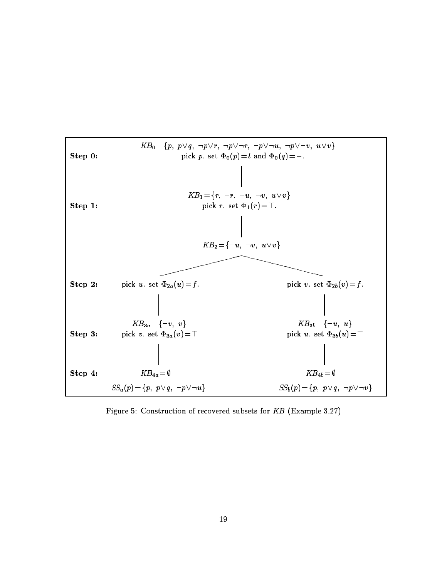

Figure 5: Construction of recovered subsets for KB (Example 3.27)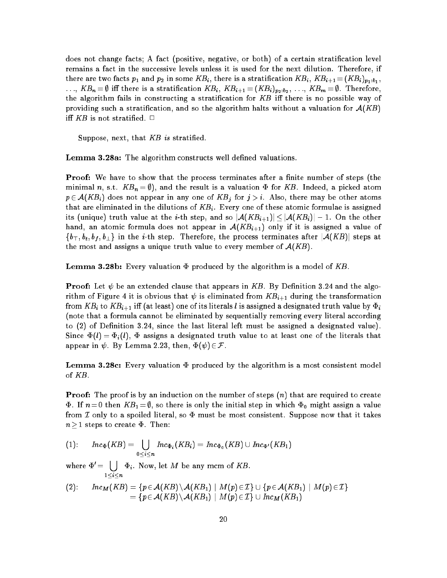does not change facts; A fact (positive, negative, or both) of a certain stratification level remains a fact in the successive levels unless it is used for the next dilution. Therefore, if there are two facts  $p_1$  and  $p_2$  in some  $KB_i,$  there is a stratification  $KB_i, \, KB_{i+1} \! = \! (KB_i)_{p_1:b_1},$  $\ldots$  ,  $KB_n= \emptyset$  iff there is a stratification  $KB_i, \ KB_{i+1}=(KB_i)_{p_2:b_2}, \ldots, \ KB_m= \emptyset$  . Therefore, the algorithm fails in constructing a stratification for  $KB$  iff there is no possible way of providing such a stratification, and so the algorithm halts without a valuation for  $A(KB)$ iff  $KB$  is not stratified.  $\Box$ 

Suppose, next, that  $KB$  is stratified.

Lemma 3.28a: The algorithm constructs well defined valuations.

**Proof:** We have to show that the process terminates after a finite number of steps (the minimal n, s.t.  $KB_n = \emptyset$ , and the result is a valuation  $\Phi$  for KB. Indeed, a picked atom  $p \in \mathcal{A}(KB_i)$  does not appear in any one of  $KB_i$  for  $j > i$ . Also, there may be other atoms that are eliminated in the dilutions of  $KB_i$ . Every one of these atomic formulae is assigned its (unique) truth value at the *i*-th step, and so  $|\mathcal{A}(KB_{i+1})| < |\mathcal{A}(KB_i)| \perp 1$ . On the other hand, an atomic formula does not appear in  $A(KB_{i+1})$  only if it is assigned a value of  $\{b_{\top}, b_t, b_f, b_{\bot}\}\$  in the *i*-th step. Therefore, the process terminates after  $|\mathcal{A}(KB)|$  steps at the most and assigns a unique truth value to every member of  $A(KB)$ .

**Lemma 3.28b:** Every valuation  $\Phi$  produced by the algorithm is a model of KB.

**Proof:** Let  $\psi$  be an extended clause that appears in KB. By Definition 3.24 and the algorithm of Figure 4 it is obvious that  $\psi$  is eliminated from  $KB_{i+1}$  during the transformation from  $KB_i$  to  $KB_{i+1}$  iff (at least) one of its literals  $l$  is assigned a designated truth value by  $\Phi_i$ (note that a formula cannot be eliminated by sequentially removing every literal according to (2) of Definition 3.24, since the last literal left must be assigned a designated value). Since  $\Phi(l) = \Phi_i(l)$ ,  $\Phi$  assigns a designated truth value to at least one of the literals that appear in  $\psi$ . By Lemma 2.23, then,  $\Phi(\psi) \in \mathcal{F}$ .

**Lemma 3.28c:** Every valuation  $\Phi$  produced by the algorithm is a most consistent model of KB.

**Proof:** The proof is by an induction on the number of steps  $(n)$  that are required to create  $\Phi$ . If  $n = 0$  then  $KB_1 = \emptyset$ , so there is only the initial step in which  $\Phi_0$  might assign a value from I only to a spoiled literal, so  $\Phi$  must be most consistent. Suppose now that it takes  $n\geq1$  steps to create  $\Phi$ . Then:

$$
(1): \quad Inc_{\Phi}(KB) = \bigcup_{0 \leq i \leq n} Inc_{\Phi_i}(KB_i) = Inc_{\Phi_0}(KB) \cup Inc_{\Phi'}(KB_1)
$$

where  $\Psi =$  $\blacksquare$ - - - - $\Phi_i$ . Now, let M be any mcm of KB.

(2): 
$$
Inc_M(KB) = \{p \in A(KB) \setminus A(KB_1) \mid M(p) \in \mathcal{I}\} \cup \{p \in A(KB_1) \mid M(p) \in \mathcal{I}\} = \{p \in A(KB) \setminus A(KB_1) \mid M(p) \in \mathcal{I}\} \cup Inc_M(KB_1)
$$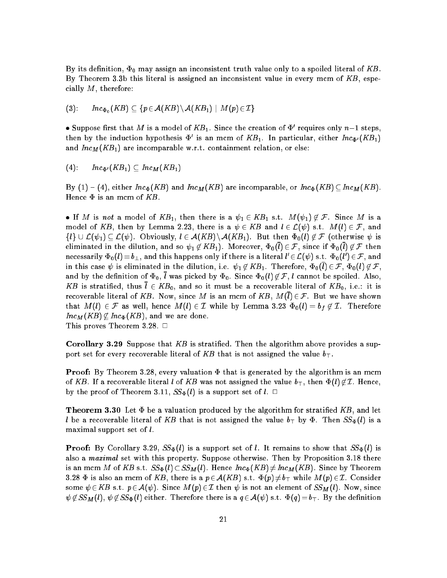By its definition,  $\Phi_0$  may assign an inconsistent truth value only to a spoiled literal of KB. By Theorem 3.3b this literal is assigned an inconsistent value in every mcm of  $KB$ , especially  $M$ , therefore:

$$
(3): \qquad Inc_{\Phi_0}(KB) \subseteq \{p \in \mathcal{A}(KB) \setminus \mathcal{A}(KB_1) \mid M(p) \in \mathcal{I}\}
$$

• Suppose first that M is a model of  $KB_1$ . Since the creation of  $\Phi'$  requires only  $n\bot 1$  steps, then by the induction hypothesis  $\Phi'$  is an mcm of  $KB_1$ . In particular, either  $Inc_{\Phi'}(KB_1)$ and  $Inc_M(KB_1)$  are incomparable w.r.t. containment relation, or else:

$$
(4): \qquad Inc_{\Phi'}(KB_1) \subseteq Inc_M(KB_1)
$$

By  $(1)$  –  $(4)$ , either  $Inc_{\Phi}(KB)$  and  $Inc_{M}(KB)$  are incomparable, or  $Inc_{\Phi}(KB) \subseteq Inc_{M}(KB)$ . Hence  $\Phi$  is an mcm of  $KB$ .

If M is not a model of  $KB_1$ , then there is a  $\psi_1 \in KB_1$  s.t.  $M(\psi_1) \notin \mathcal{F}$ . Since M is a model of KB, then by Lemma 2.23, there is a  $\psi \in KB$  and  $l \in \mathcal{L}(\psi)$  s.t.  $M(l) \in \mathcal{F}$ , and  $\{l\} \cup \mathcal{L}(\psi_1) \subseteq \mathcal{L}(\psi)$ . Obviously,  $l \in \mathcal{A}(KB) \setminus \mathcal{A}(KB_1)$ . But then  $\Phi_0(l) \notin \mathcal{F}$  (otherwise  $\psi$  is eliminated in the dilution, and so  $\psi_1 \not\in KB_1$ ). Moreover,  $\Phi_0(l) \in \mathcal{F}$ , since if  $\Phi_0(l) \not\in \mathcal{F}$  then necessarily  $\Phi_0(l)\!=\!b_\perp,$  and this happens only if there is a literal  $l'\!\in\! \mathcal{L}(\psi)$  s.t.  $\Phi_0(l')\!\in\! \mathcal{F},$  and in this case  $\psi$  is eliminated in the dilution, i.e.  $\psi_1\not\in KB_1$ . Therefore,  $\Phi_0(\bar{l})\in \mathcal{F},$   $\Phi_0(l)\not\in \mathcal{F},$ and by the definition of  $\Phi_0$ ,  $\bar{l}$  was picked by  $\Phi_0$ . Since  $\Phi_0(l) \notin \mathcal{F}$ , *l* cannot be spoiled. Also, KB is stratified, thus  $\bar{l} \in KB_0$ , and so it must be a recoverable literal of  $KB_0$ , i.e.: it is recoverable literal of KB. Now, since M is an mcm of KB,  $M(\overline{l}) \in \mathcal{F}$ . But we have shown that  $M(l) \in \mathcal{F}$  as well, hence  $M(l) \in \mathcal{I}$  while by Lemma 3.23  $\Phi_0(l) = b_f \notin \mathcal{I}$ . Therefore  $Inc_M(KB) \nsubseteq Inc_{\Phi}(KB)$ , and we are done.

This proves Theorem 3.28.  $\Box$ 

**Corollary 3.29** Suppose that KB is stratified. Then the algorithm above provides a support set for every recoverable literal of KB that is not assigned the value  $b_{\perp}$ .

**Proof:** By Theorem 3.28, every valuation  $\Phi$  that is generated by the algorithm is an mcm of KB. If a recoverable literal l of KB was not assigned the value  $b_{\top}$ , then  $\Phi(l) \not\in \mathcal{I}$ . Hence, by the proof of Theorem 3.11,  $SS_{\Phi}(l)$  is a support set of  $l. \square$ 

**Theorem 3.30** Let  $\Phi$  be a valuation produced by the algorithm for stratified KB, and let l be a recoverable literal of KB that is not assigned the value  $b_{\top}$  by  $\Phi$ . Then  $SS_{\Phi}(l)$  is a maximal support set of  $l$ .

**Proof:** By Corollary 3.29,  $SS_{\Phi}(l)$  is a support set of l. It remains to show that  $SS_{\Phi}(l)$  is also a maximal set with this property. Suppose otherwise. Then by Proposition 3.18 there is an mcm M of KB s.t.  $SS_{\Phi}(l)\subset SS_M(l)$ . Hence  $Inc_{\Phi}(KB) \neq Inc_M(KB)$ . Since by Theorem 3.28  $\Phi$  is also an mcm of KB, there is a  $p\in \mathcal{A}(KB)$  s.t.  $\Phi(p)\neq b_{\top}$  while  $M(p)\in\mathcal{I}$ . Consider some  $\psi \in KB$  s.t.  $p \in \mathcal{A}(\psi)$ . Since  $M(p) \in \mathcal{I}$  then  $\psi$  is not an element of  $SS_M(l)$ . Now, since  $\psi \notin SS_{\bf M}(l), \psi \notin SS_{\Phi}(l)$  either. Therefore there is a  $q \in \mathcal{A}(\psi)$  s.t.  $\Phi(q) = b_{\top}$ . By the definition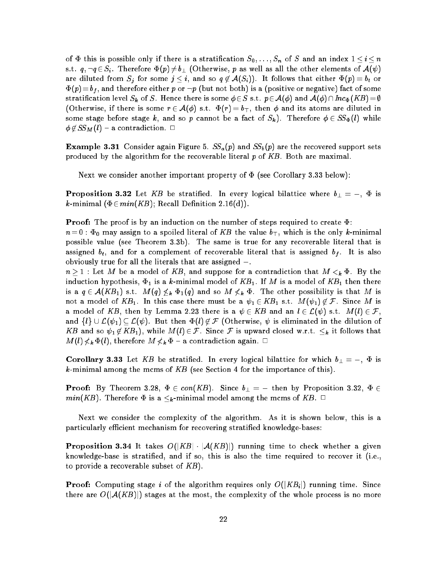of  $\Phi$  this is possible only if there is a stratification  $S_0, \ldots, S_n$  of S and an index  $1 \le i \le n$ s.t.  $q, \neg q \in S_i$ . Therefore  $\Phi(p) \neq b_\perp$  (Otherwise, p as well as all the other elements of  $\mathcal{A}(\psi)$ are diluted from  $S_j$  for some  $j\leq i,$  and so  $q\not\in \mathcal{A}(S_i)).$  It follows that either  $\Phi(p)=b_t$  or  $\Phi(p)\!=\!b_f,$  and therefore either  $p$  or  $\neg p$  (but not both) is a (positive or negative) fact of some stratification level  $S_{\bm{k}}$  of  $S.$  Hence there is some  $\phi\!\in\!S$  s.t.  $p\!\in\!\mathcal{A}(\phi)$  and  $\mathcal{A}(\phi)\!\cap Inc_{\Phi}(KB)\!=\!\emptyset$ (Otherwise, if there is some  $r \in \mathcal{A}(\phi)$  s.t.  $\Phi(r) = b_{\top}$ , then  $\phi$  and its atoms are diluted in some stage before stage k, and so p cannot be a fact of  $S_k$ ). Therefore  $\phi \in \mathit{SS}_{\Phi}(l)$  while  $\phi \notin \mathit{SS}_M(l)$  – a contradiction.  $\Box$ 

**Example 3.31** Consider again Figure 5.  $SS_a(p)$  and  $SS_b(p)$  are the recovered support sets produced by the algorithm for the recoverable literal  $p$  of  $KB$ . Both are maximal.

Next we consider another important property of  $\Phi$  (see Corollary 3.33 below):

**Proposition 3.32** Let KB be stratified. In every logical bilattice where  $b_{\perp} = \perp$ ,  $\Phi$  is k-minimal  $(\Phi \in min(KB))$ ; Recall Definition 2.16(d)).

**Proof:** The proof is by an induction on the number of steps required to create  $\Phi$ :

 $n=0$ :  $\Phi_0$  may assign to a spoiled literal of KB the value  $b_{\top}$ , which is the only k-minimal possible value (see Theorem 3.3b). The same is true for any recoverable literal that is assigned  $b_t$ , and for a complement of recoverable literal that is assigned  $b_f$ . It is also obviously true for all the literals that are assigned  $\perp$ .

 $n \geq 1$ : Let M be a model of KB, and suppose for a contradiction that  $M <_{k} \Phi$ . By the induction hypothesis,  $\Phi_1$  is a k-minimal model of  $KB_1$ . If M is a model of  $KB_1$  then there is a  $q \in \mathcal{A}(KB_1)$  s.t.  $M(q) \not\leq_k \Phi_1(q)$  and so  $M \not\leq_k \Phi$ . The other possibility is that M is not a model of  $KB_1$ . In this case there must be a  $\psi_1 \in KB_1$  s.t.  $M(\psi_1) \notin \mathcal{F}$ . Since M is a model of KB, then by Lemma 2.23 there is a  $\psi \in KB$  and an  $l \in \mathcal{L}(\psi)$  s.t.  $M(l) \in \mathcal{F},$ and  $\{l\} \cup \mathcal{L}(\psi_1) \subseteq \mathcal{L}(\psi)$ . But then  $\Phi(l) \notin \mathcal{F}$  (Otherwise,  $\psi$  is eliminated in the dilution of KB and so  $\psi_1 \notin KB_1$ , while  $M(l) \in \mathcal{F}$ . Since  $\mathcal F$  is upward closed w.r.t.  $\leq_k$  it follows that  $M(l) \nless k \Phi(l)$ , therefore  $M \nless k \Phi$  – a contradiction again.  $\Box$ 

**Corollary 3.33** Let KB be stratified. In every logical bilattice for which  $b_{\perp} = \perp$ ,  $\Phi$  is k-minimal among the mcms of  $KB$  (see Section 4 for the importance of this).

**Proof:** By Theorem 3.28,  $\Phi \in con(KB)$ . Since  $b_{\perp} = \perp$  then by Proposition 3.32,  $\Phi \in$  $min(KB)$ . Therefore  $\Phi$  is a  $\leq_k$ -minimal model among the mcms of  $KB$ .  $\Box$ 

Next we consider the complexity of the algorithm. As it is shown below, this is a particularly efficient mechanism for recovering stratified knowledge-bases:

**Proposition 3.34** It takes  $O(|KB| \cdot |\mathcal{A}(KB)|)$  running time to check whether a given knowledge-base is stratied, and if so, this is also the time required to recover it (i.e., to provide a recoverable subset of  $KB$ ).

**Proof:** Computing stage i of the algorithm requires only  $O(|KB_i|)$  running time. Since there are  $O(|\mathcal{A}(KB)|)$  stages at the most, the complexity of the whole process is no more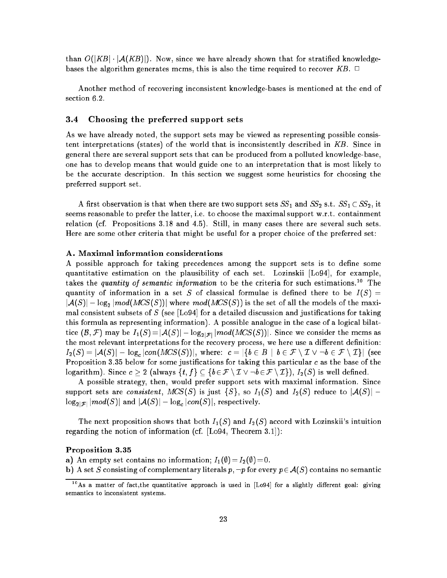than  $O(|KB| \cdot |\mathcal{A}(KB)|)$ . Now, since we have already shown that for stratified knowledgebases the algorithm generates mcms, this is also the time required to recover  $KB$ .  $\Box$ 

Another method of recovering inconsistent knowledge-bases is mentioned at the end of section 6.2.

### 3.4 Choosing the preferred support sets

As we have already noted, the support sets may be viewed as representing possible consistent interpretations (states) of the world that is inconsistently described in KB. Since in general there are several support sets that can be produced from a polluted knowledge-base, one has to develop means that would guide one to an interpretation that is most likely to be the accurate description. In this section we suggest some heuristics for choosing the preferred support set.

A first observation is that when there are two support sets  $SS_1$  and  $SS_2$  s.t.  $SS_1 \subset SS_2$ , it seems reasonable to prefer the latter, i.e. to choose the maximal support w.r.t. containment relation (cf. Propositions 3.18 and 4.5). Still, in many cases there are several such sets. Here are some other criteria that might be useful for a proper choice of the preferred set:

### A. Maximal information considerations

A possible approach for taking precedences among the support sets is to define some quantitative estimation on the plausibility of each set. Lozinskii [Lo94], for example, takes the quantity of semantic information to be the criteria for such estimations.<sup>10</sup> The quantity of information in a set S of classical formulae is defined there to be  $I(S)$  =  $|\mathcal{A}(S)| \perp \log_2 |mod(MCS(S))|$  where  $mod(MCS(S))$  is the set of all the models of the maximal consistent subsets of S (see [Lo94] for a detailed discussion and justifications for taking this formula as representing information). A possible analogue in the case of a logical bilattice  $(\mathcal{B},\mathcal{F})$  may be  $I_1(S)\!=\!|\mathcal{A}(S)|\!\perp\!\log_{2|\mathcal{F}|}|mod(MCS(S))$  . Since we consider the mcms as the most relevant interpretations for the recovery process, we here use a different definition:  $I_2(S) = |\mathcal{A}(S)| \perp \log_{c}|con(MCS(S))|, \text{ where: } \text{ } c = |\{b \in B \,\mid\, b \in \mathcal{F}\setminus\mathcal{I} \vee \neg b \in \mathcal{F}\setminus\mathcal{I}\}| \text{ (see } \text{ } \text{ }$ Proposition 3.35 below for some justifications for taking this particular  $c$  as the base of the logarithm). Since  $c \geq 2$  (always  $\{t, f\} \subseteq \{b \in \mathcal{F} \setminus \mathcal{I} \setminus \neg b \in \mathcal{F} \setminus \mathcal{I}\}\)$ ,  $I_2(S)$  is well defined.

A possible strategy, then, would prefer support sets with maximal information. Since support sets are consistent,  $MCS(S)$  is just  $\{S\}$ , so  $I_1(S)$  and  $I_2(S)$  reduce to  $|\mathcal{A}(S)| \perp$  $\log_{2|\mathcal{F}|} |mod(S)|$  and  $|\mathcal{A}(S)| \perp \log_{c} |con(S)|$ , respectively.

The next proposition shows that both  $I_1(S)$  and  $I_2(S)$  accord with Lozinskii's intuition regarding the notion of information (cf. [Lo94, Theorem 3.1]):

#### Proposition 3.35

a) An empty set contains no information;  $I_1(\emptyset)=I_2(\emptyset)=0$ .

b) A set S consisting of complementary literals  $p, \neg p$  for every  $p \in A(S)$  contains no semantic

 $10$ As a matter of fact, the quantitative approach is used in [Lo94] for a slightly different goal: giving semantics to inconsistent systems.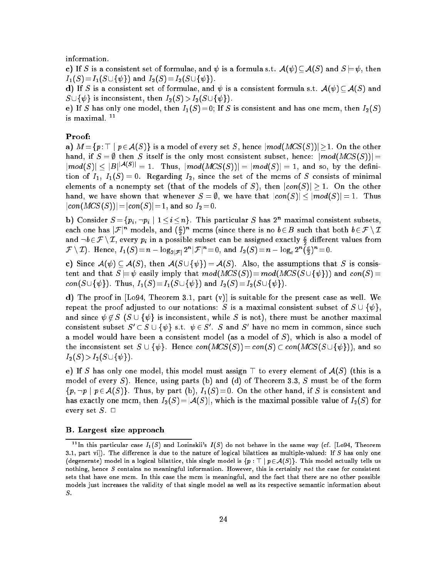information.

c) If S is a consistent set of formulae, and  $\psi$  is a formula s.t.  $\mathcal{A}(\psi) \subset \mathcal{A}(S)$  and  $S \models \psi$ , then  $I_1(S)=I_1(S\cup \{\psi\})$  and  $I_2(S)=I_2(S\cup \{\psi\}).$ 

d) If S is a consistent set of formulae, and  $\psi$  is a consistent formula s.t.  $\mathcal{A}(\psi) \subseteq \mathcal{A}(S)$  and  $S \cup {\psi}$  is inconsistent, then  $I_2(S) > I_2(S \cup {\psi}).$ 

e) If S has only one model, then  $I_1(S)=0$ ; If S is consistent and has one mcm, then  $I_2(S)$ is maximal. <sup>--</sup>

### Proof:

a)  $M = \{p : \top \mid p \in A(S)\}\$ is a model of every set S, hence  $\vert mod(MCS(S))\vert \geq 1$ . On the other hand, if  $S = \emptyset$  then S itself is the only most consistent subset, hence:  $|mod(MCS(S))|$  $\lfloor mod(S) \rfloor$  <  $\lfloor B\rfloor^{|A(S)|}$  = 1. Thus,  $\lfloor mod(MCS(S)) \rfloor = \lfloor mod(S) \rfloor = 1$ , and so, by the definition of  $I_1$ ,  $I_1(S) = 0$ . Regarding  $I_2$ , since the set of the mcms of S consists of minimal elements of a nonempty set (that of the models of S), then  $|con(S)| \geq 1$ . On the other hand, we have shown that whenever  $S = \emptyset$ , we have that  $|con(S)| \le |mod(S)| = 1$ . Thus  $|con(MCS(S))|=|con(S)|= 1$ , and so  $I_2= 0$ .

b) Consider  $S = \{p_i, \neg p_i \mid 1 \leq i \leq n\}$ . This particular S has  $2^n$  maximal consistent subsets, each one has  $\mathcal{F}^n$  models, and  $(\frac{c}{n})^n$  mcms (since there is no  $b \in B$  such that both  $b \in \mathcal{F} \setminus \mathcal{I}$ and  $\neg b \in \mathcal{F} \setminus \mathcal{I}$ , every  $p_i$  in a possible subset can be assigned exactly  $\frac{c}{2}$  different values from  $\mathcal{F}\setminus\mathcal{I}$ ). Hence,  $I_1(S)=n\perp\log_{2|\mathcal{F}|}2^n|\mathcal{F}|^n=0,$  and  $I_2(S)=n\perp\log_{c}2^n(\frac{c}{2})^n=0.$ 

c) Since  $A(\psi) \subset A(S)$ , then  $A(S \cup {\psi}) = A(S)$ . Also, the assumptions that S is consistent and that  $S \models \psi$  easily imply that  $mod(MCS(S))=mod(MCS(S \cup \{\psi\}))$  and  $con(S)$ con( $S \cup \{\psi\}$ ). Thus,  $I_1(S) = I_1(S \cup \{\psi\})$  and  $I_2(S) = I_2(S \cup \{\psi\}).$ 

 $\overline{\phantom{a}}$ 

d) The proof in  $[Lo94, Theorem 3.1, part (v)]$  is suitable for the present case as well. We repeat the proof adjusted to our notations: S is a maximal consistent subset of  $S \cup {\psi}$ , and since  $\psi \notin S$  ( $S \cup {\psi}$  is inconsistent, while S is not), there must be another maximal consistent subset  $S' \subset S \cup \{\psi\}$  s.t.  $\psi \in S'.$   $S$  and  $S'$  have no mcm in common, since such a model would have been a consistent model (as a model of  $S$ ), which is also a model of the inconsistent set  $S \cup \{\psi\}$ . Hence  $con(MCS(S)) = con(S) \subset con(MCS(S \cup \{\psi\}))$ , and so  $I_2(S) > I_2(S \cup \{\psi\}).$ 

e) If S has only one model, this model must assign  $\top$  to every element of  $\mathcal{A}(S)$  (this is a model of every S). Hence, using parts (b) and (d) of Theorem 3.3, S must be of the form  $\{p, \neg p \mid p \in A(S)\}\.$  Thus, by part (b),  $I_1(S) = 0$ . On the other hand, if S is consistent and has exactly one mcm, then  $I_2(S)=|\mathcal{A}(S)|$ , which is the maximal possible value of  $I_2(S)$  for every set  $S$ .  $\square$ 

#### B. Largest size approach

<sup>&</sup>lt;sup>11</sup>In this particular case  $I_1(S)$  and Lozinskii's  $I(S)$  do not behave in the same way (cf. [Lo94, Theorem 3.1, part vi]). The difference is due to the nature of logical bilattices as multiple-valued: If  $S$  has only one (degenerate) model in a logical bilattice, this single model is  $\{p : \top | p \in \mathcal{A}(S)\}\)$ . This model actually tells us nothing, hence  $S$  contains no meaningful information. However, this is certainly not the case for consistent sets that have one mcm. In this case the mcm is meaningful, and the fact that there are no other possible models just increases the validity of that single model as well as its respective semantic information about S.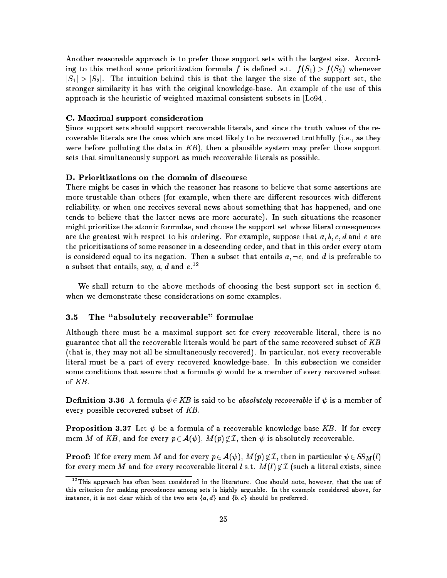Another reasonable approach is to prefer those support sets with the largest size. According to this method some prioritization formula f is defined s.t.  $f(S_1) > f(S_2)$  whenever  $|S_1| > |S_2|$ . The intuition behind this is that the larger the size of the support set, the stronger similarity it has with the original knowledge-base. An example of the use of this approach is the heuristic of weighted maximal consistent subsets in [Lo94].

#### C. Maximal support consideration

Since support sets should support recoverable literals, and since the truth values of the recoverable literals are the ones which are most likely to be recovered truthfully (i.e., as they were before polluting the data in  $KB$ ), then a plausible system may prefer those support sets that simultaneously support as much recoverable literals as possible.

#### D. Prioritizations on the domain of discourse

There might be cases in which the reasoner has reasons to believe that some assertions are more trustable than others (for example, when there are different resources with different reliability, or when one receives several news about something that has happened, and one tends to believe that the latter news are more accurate). In such situations the reasoner might prioritize the atomic formulae, and choose the support set whose literal consequences are the greatest with respect to his ordering. For example, suppose that  $a, b, c, d$  and e are the prioritizations of some reasoner in a descending order, and that in this order every atom is considered equal to its negation. Then a subset that entails  $a, \neg c$ , and d is preferable to a subset that entails, say,  $a,d$  and  $e.^{12}$ 

We shall return to the above methods of choosing the best support set in section 6, when we demonstrate these considerations on some examples.

### 3.5 The "absolutely recoverable" formulae

Although there must be a maximal support set for every recoverable literal, there is no guarantee that all the recoverable literals would be part of the same recovered subset of  $KB$ (that is, they may not all be simultaneously recovered). In particular, not every recoverable literal must be a part of every recovered knowledge-base. In this subsection we consider some conditions that assure that a formula  $\psi$  would be a member of every recovered subset of KB.

**Definition 3.36** A formula  $\psi \in KB$  is said to be *absolutely recoverable* if  $\psi$  is a member of every possible recovered subset of  $KB$ .

**Proposition 3.37** Let  $\psi$  be a formula of a recoverable knowledge-base KB. If for every mcm M of KB, and for every  $p \in \mathcal{A}(\psi)$ ,  $M(p) \notin \mathcal{I}$ , then  $\psi$  is absolutely recoverable.

**Proof:** If for every mcm  $M$  and for every  $p\in\mathcal{A}(\psi),$   $M(p)\not\in\mathcal{I},$  then in particular  $\psi\in SS_{M}(l)$ for every mcm M and for every recoverable literal l s.t.  $M(l)$   $\not\in \mathcal{I}$  (such a literal exists, since

<sup>&</sup>lt;sup>12</sup>This approach has often been considered in the literature. One should note, however, that the use of this criterion for making precedences among sets is highly arguable. In the example considered above, for instance, it is not clear which of the two sets  $\{a, d\}$  and  $\{b, c\}$  should be preferred.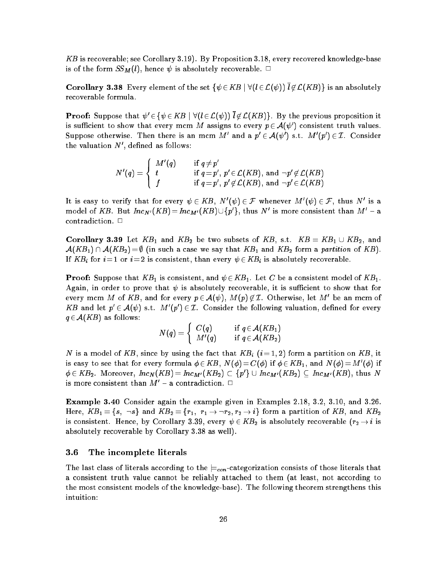KB is recoverable; see Corollary 3.19). By Proposition 3.18, every recovered knowledge-base is of the form  $SS_M(l)$ , hence  $\psi$  is absolutely recoverable.  $\Box$ 

**Corollary 3.38** Every element of the set  $\{\psi \in KB \mid \forall (l \in \mathcal{L}(\psi)) \overline{l} \notin \mathcal{L}(KB)\}$  is an absolutely recoverable formula.

**Proof:** Suppose that  $\psi' \in \{\psi \in KB \mid \forall (l \in \mathcal{L}(\psi)) \mid l \notin \mathcal{L}(KB)\}.$  By the previous proposition it is sufficient to show that every mcm M assigns to every  $p \in \mathcal{A}(\psi')$  consistent truth values. Suppose otherwise. Then there is an mcm  $M'$  and a  $p' \in \mathcal{A}(\psi')$  s.t.  $M'(p') \in \mathcal{I}$ . Consider the valuation  $N'$ , defined as follows:

$$
N'(q) = \left\{ \begin{array}{ll} M'(q) & \quad \text{if} \,\, q \neq p' \\ t & \quad \text{if} \,\, q = p', \, p' \in \mathcal{L}(KB), \text{ and } \neg p' \not\in \mathcal{L}(KB) \\ f & \quad \text{if} \,\, q = p', \, p' \not\in \mathcal{L}(KB), \text{ and } \neg p' \in \mathcal{L}(KB) \end{array} \right.
$$

It is easy to verify that for every  $\psi \in KB, \ N'(\psi) \in \mathcal{F}$  whenever  $M'(\psi) \in \mathcal{F},$  thus  $N'$  is a model of KB. But  $Inc_{N'}(KB) = Inc_{M'}(KB) \cup \{p'\},$  thus N' is more consistent than  $M'-a$ contradiction.  $\Box$ 

**Corollary 3.39** Let  $KB_1$  and  $KB_2$  be two subsets of  $KB$ , s.t.  $KB = KB_1 \cup KB_2$ , and  $A(KB_1) \cap A(KB_2) = \emptyset$  (in such a case we say that  $KB_1$  and  $KB_2$  form a partition of KB). If KB<sub>i</sub> for  $i=1$  or  $i=2$  is consistent, than every  $\psi \in KB_i$  is absolutely recoverable.

**Proof:** Suppose that  $KB_1$  is consistent, and  $\psi \in KB_1$ . Let C be a consistent model of  $KB_1$ . Again, in order to prove that  $\psi$  is absolutely recoverable, it is sufficient to show that for every mcm  $M$  of  $KB,$  and for every  $p\in \mathcal{A}(\psi),\ M(p)\not\in \mathcal{I}.$  Otherwise, let  $M'$  be an mcm of KB and let  $p' \in \mathcal{A}(\psi)$  s.t.  $M'(p') \in \mathcal{I}$ . Consider the following valuation, defined for every  $q \in A(KB)$  as follows:

$$
N(q) = \left\{ \begin{array}{ll} C(q) & \text{if } q \in \mathcal{A}(KB_1) \\ M'(q) & \text{if } q \in \mathcal{A}(KB_2) \end{array} \right.
$$

N is a model of KB, since by using the fact that  $KB_i$   $(i=1,2)$  form a partition on KB, it is easy to see that for every formula  $\phi\in KB,$   $N(\phi)=C(\phi)$  if  $\phi\in KB_{1},$  and  $N(\phi)=M'(\phi)$  if  $\phi\in KB_2.$  Moreover,  $Inc_N(KB)=Inc_{M'}(KB_2)\subset \{p'\}\cup Inc_{M'}(KB_2)\subset Inc_{M'}(KB),$  thus  $N$ is more consistent than  $M'$  – a contradiction.  $\Box$ 

Example 3.40 Consider again the example given in Examples 2.18, 3.2, 3.10, and 3.26. Here,  $KB_1 = \{s, \neg s\}$  and  $KB_2 = \{r_1, r_1 \rightarrow \neg r_2, r_2 \rightarrow i\}$  form a partition of  $KB$ , and  $KB_2$ is consistent. Hence, by Corollary 3.39, every  $\psi \in KB_2$  is absolutely recoverable  $(r_2 \rightarrow i$  is absolutely recoverable by Corollary 3.38 as well).

#### 3.6 The incomplete literals

The last class of literals according to the  $\equiv_{con}$ -categorization consists of those literals that a consistent truth value cannot be reliably attached to them (at least, not according to the most consistent models of the knowledge-base). The following theorem strengthens this intuition: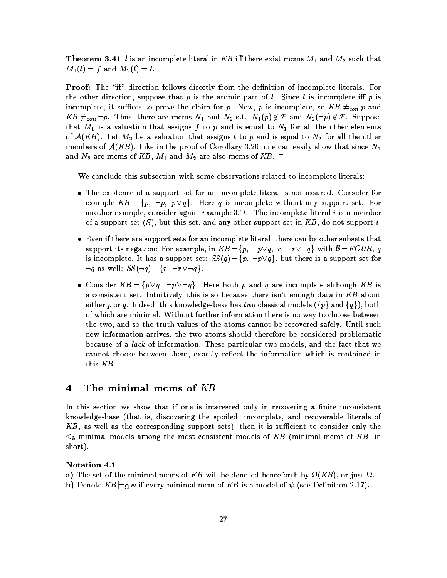**Theorem 3.41** *l* is an incomplete literal in KB iff there exist mcms  $M_1$  and  $M_2$  such that  $M_1(l) = f$  and  $M_2(l) = t$ .

**Proof:** The "if" direction follows directly from the definition of incomplete literals. For the other direction, suppose that p is the atomic part of l. Since l is incomplete iff p is incomplete, it suffices to prove the claim for p. Now, p is incomplete, so  $KB \nvDash_{con} p$  and  $KB \not\models_{con} \neg p.$  Thus, there are mcms  $N_1$  and  $N_2$  s.t.  $N_1(p) \not\in \mathcal{F}$  and  $N_2(\neg p) \not\in \mathcal{F}$ . Suppose that  $M_1$  is a valuation that assigns f to p and is equal to  $N_1$  for all the other elements of  $\mathcal{A}(KB)$ . Let  $M_2$  be a valuation that assigns t to p and is equal to  $N_2$  for all the other members of  $A(KB)$ . Like in the proof of Corollary 3.20, one can easily show that since  $N_1$ and  $N_2$  are mcms of  $KB$ ,  $M_1$  and  $M_2$  are also mcms of  $KB$ .  $\Box$ 

We conclude this subsection with some observations related to incomplete literals:

- The existence of a support set for an incomplete literal is not assured. Consider for example  $KB = \{p, \neg p, p \lor q\}$ . Here q is incomplete without any support set. For another example, consider again Example  $3.10$ . The incomplete literal  $i$  is a member of a support set  $(S)$ , but this set, and any other support set in KB, do not support i.
- Even if there are support sets for an incomplete literal, there can be other subsets that support its negation: For example, in  $KB = \{p, \neg p \lor q, r, \neg r \lor \neg q\}$  with  $\beta = FOUR, q$ is incomplete. It has a support set:  $SS(q) = \{p, \neg p \lor q\}$ , but there is a support set for  $\lnot q$  as well:  $SS(\lnot q) = \{r, \lnot r \lor \lnot q\}.$
- Consider  $KB = \{p \lor q, \neg p \lor \neg q\}$ . Here both p and q are incomplete although KB is a consistent set. Intuitively, this is so because there isn't enough data in KB about either p or q. Indeed, this knowledge-base has two classical models ( $\{p\}$  and  $\{q\}$ ), both of which are minimal. Without further information there is no way to choose between the two, and so the truth values of the atoms cannot be recovered safely. Until such new information arrives, the two atoms should therefore be considered problematic because of a lack of information. These particular two models, and the fact that we cannot choose between them, exactly reflect the information which is contained in this KB.

### 4 The minimal mcms of  $KB$

In this section we show that if one is interested only in recovering a finite inconsistent knowledge-base (that is, discovering the spoiled, incomplete, and recoverable literals of  $KB$ , as well as the corresponding support sets), then it is sufficient to consider only the  $\leq_k$ -minimal models among the most consistent models of KB (minimal mcms of KB, in short).

#### Notation 4.1

- a) The set of the minimal mcms of KB will be denoted henceforth by  $\Omega(KB)$ , or just  $\Omega$ .
- **b**) Denote  $KB \models_{\Omega} \psi$  if every minimal mcm of  $KB$  is a model of  $\psi$  (see Definition 2.17).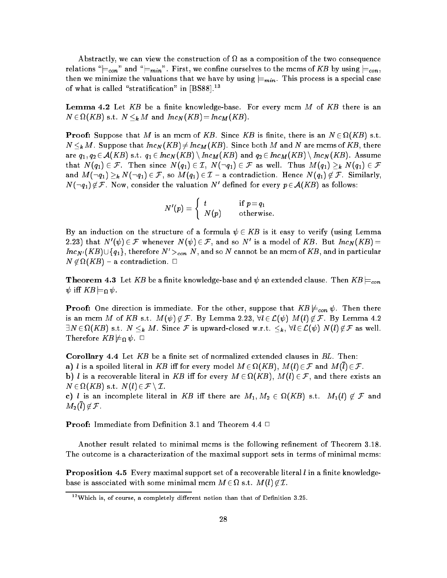Abstractly, we can view the construction of as a composition of the two consequence relations " $\models_{con}$ " and " $\models_{min}$ ". First, we confine ourselves to the mcms of KB by using  $\models_{con}$ , then we minimize the valuations that we have by using  $\equiv_{min}$ . This process is a special case of what is called "stratification" in  $[BS88]$ .<sup>13</sup>

**Lemma 4.2** Let  $KB$  be a finite knowledge-base. For every mcm  $M$  of  $KB$  there is an  $N \in \Omega(KB)$  s.t.  $N \leq_k M$  and  $Inc_N(KB)=Inc_M(KB)$ .

**Proof:** Suppose that M is an mcm of KB. Since KB is finite, there is an  $N \in \Omega(KB)$  s.t.  $N \leq_{\mathbf{k}} M$ . Suppose that  $Inc_N(KB) \neq Inc_M(KB)$ . Since both M and N are mcms of KB, there are  $q_1,q_2\in \mathcal{A}(KB)$  s.t.  $q_1\in Inc_N(KB)\setminus Inc_M(KB)$  and  $q_2\in Inc_M(KB)\setminus Inc_N(KB)$ . Assume that  $N(q_1) \in \mathcal{F}$ . Then since  $N(q_1) \in \mathcal{I}$ ,  $N(\neg q_1) \in \mathcal{F}$  as well. Thus  $M(q_1) \geq_k N(q_1) \in \mathcal{F}$ and  $M(\neg q_1)\geq_k N(\neg q_1)\in \mathcal{F},$  so  $M(q_1)\in \mathcal{I}$  - a contradiction. Hence  $N(q_1)\not\in \mathcal{F}.$  Similarly,  $N(\neg q_1)\not\in\mathcal{F}.$  Now, consider the valuation  $N'$  defined for every  $p\!\in\!\mathcal{A}(KB)$  as follows:

$$
N'(p) = \left\{ \begin{array}{ll} t & \quad \text{if } p = q_1 \\ N(p) & \quad \text{otherwise}. \end{array} \right.
$$

By an induction on the structure of a formula  $\psi \in KB$  is it easy to verify (using Lemma 2.23) that  $N'(\psi) \in \mathcal{F}$  whenever  $N(\psi) \in \mathcal{F}$ , and so  $N'$  is a model of  $KB$ . But  $Inc_N(KB) =$  $Inc_{N'}(KB) \cup \{q_1\}$ , therefore  $N' >_{con} N$ , and so N cannot be an mcm of  $KB$ , and in particular  $N$   $\mathfrak{\not\in}\Omega$  (KB) – a contradiction.  $\Box$ 

**Theorem 4.3** Let  $KB$  be a finite knowledge-base and  $\psi$  an extended clause. Then  $KB \models_{con}$  $\psi$  iff  $KB \models_{\Omega} \psi$ .

**Proof:** One direction is immediate. For the other, suppose that  $KB \nvDash_{con} \psi$ . Then there is an mcm M of KB s.t.  $M(\psi) \notin \mathcal{F}$ . By Lemma 2.23,  $\forall l \in \mathcal{L}(\psi)$   $M(l) \notin \mathcal{F}$ . By Lemma 4.2  $\exists N\!\in\!\Omega(KB) \text{ s.t. } N\leq_{\bm{k}} M. \text{ Since } \bm{\mathcal{F}} \text{ is upward-closed w.r.t. } \leq_{\bm{k}}, \forall l\!\in\!\mathcal{L}(\psi) \text{ } N(l)\!\not\in\!\mathcal{F} \text{ as well.}$ Therefore  $\mathit{KB} \not\models_{\Omega} \psi$ .  $\Box$ 

**Corollary 4.4** Let  $KB$  be a finite set of normalized extended clauses in  $BL$ . Then: a) l is a spoiled literal in KB iff for every model  $M\in \Omega(KB)$ ,  $M(l)\in {\mathcal F}$  and  $M(l)\in {\mathcal F}.$ b) *l* is a recoverable literal in KB iff for every  $M \in \Omega(KB)$ ,  $M(l) \in \mathcal{F}$ , and there exists an  $N \in \Omega(KB)$  s.t.  $N(l) \in \mathcal{F} \setminus \mathcal{I}$ . c) *l* is an incomplete literal in KB iff there are  $M_1, M_2 \in \Omega(KB)$  s.t.  $M_1(l) \notin \mathcal{F}$  and  $M_2(\overline{l}) \notin \mathcal{F}$ .

**Proof:** Immediate from Definition 3.1 and Theorem 4.4  $\Box$ 

Another result related to minimal mcms is the following refinement of Theorem 3.18. The outcome is a characterization of the maximal support sets in terms of minimal mcms:

**Proposition 4.5** Every maximal support set of a recoverable literal  $l$  in a finite knowledgebase is associated with some minimal mcm  $M \in \Omega$  s.t.  $M(l) \notin \mathcal{I}$ .

 $13$  Which is, of course, a completely different notion than that of Definition 3.25.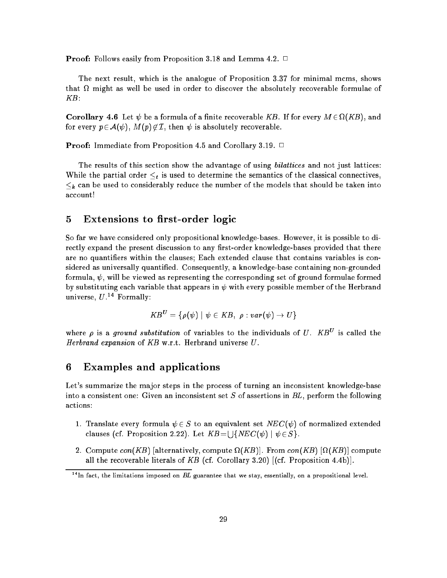**Proof:** Follows easily from Proposition 3.18 and Lemma 4.2.  $\Box$ 

The next result, which is the analogue of Proposition 3.37 for minimal mcms, shows that might as well be used in order to discover the absolutely recoverable formulae of KB:

**Corollary 4.6** Let  $\psi$  be a formula of a finite recoverable KB. If for every  $M \in \Omega(KB)$ , and for every  $p \in \mathcal{A}(\psi)$ ,  $M(p) \notin \mathcal{I}$ , then  $\psi$  is absolutely recoverable.

**Proof:** Immediate from Proposition 4.5 and Corollary 3.19.  $\Box$ 

The results of this section show the advantage of using *bilattices* and not just lattices: While the partial order  $\leq_t$  is used to determine the semantics of the classical connectives,  $\leq_k$  can be used to considerably reduce the number of the models that should be taken into account!

#### Extensions to first-order logic 5

So far we have considered only propositional knowledge-bases. However, it is possible to directly expand the present discussion to any first-order knowledge-bases provided that there are no quantiers within the clauses; Each extended clause that contains variables is considered as universally quantied. Consequently, a knowledge-base containing non-grounded formula,  $\psi$ , will be viewed as representing the corresponding set of ground formulae formed by substituting each variable that appears in  $\psi$  with every possible member of the Herbrand universe,  $U^{14}$  Formally:

$$
KB^U = \{ \rho(\psi) \mid \psi \in KB, \ \rho : var(\psi) \to U \}
$$

where  $\rho$  is a ground substitution of variables to the individuals of U.  $KB^{\nu}$  is called the Herbrand expansion of  $KB$  w.r.t. Herbrand universe  $U$ .

#### Examples and applications 6

Let's summarize the major steps in the process of turning an inconsistent knowledge-base into a consistent one: Given an inconsistent set S of assertions in  $BL$ , perform the following actions:

- 1. Translate every formula  $\psi \in S$  to an equivalent set  $NEC(\psi)$  of normalized extended clauses (cf. Proposition 2.22). Let  $KB = \bigcup \{NEC(\psi) \mid \psi \in S\}$ .
- 2. Compute con(KB) |alternatively, compute  $\Omega(KB)$ |. From con(KB)  $|\Omega(KB)|$  compute all the recoverable literals of KB (cf. Corollary 3.20)  $[(cf.$  Proposition 4.4b)].

<sup>&</sup>lt;sup>14</sup>In fact, the limitations imposed on BL guarantee that we stay, essentially, on a propositional level.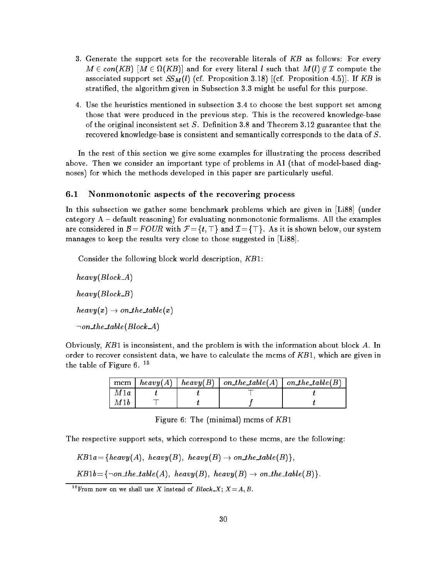- 3. Generate the support sets for the recoverable literals of KB as follows: For every  $M \in con(KB)$   $[M \in \Omega(KB)]$  and for every literal  $l$  such that  $M(l) \not\in \mathcal{I}$  compute the associated support set  $SS_M(l)$  (cf. Proposition 3.18) [(cf. Proposition 4.5)]. If KB is stratied, the algorithm given in Subsection 3.3 might be useful for this purpose.
- 4. Use the heuristics mentioned in subsection 3.4 to choose the best support set among those that were produced in the previous step. This is the recovered knowledge-base of the original inconsistent set  $S$ . Definition 3.8 and Theorem 3.12 guarantee that the recovered knowledge-base is consistent and semantically corresponds to the data of S.

In the rest of this section we give some examples for illustrating the process described above. Then we consider an important type of problems in AI (that of model-based diagnoses) for which the methods developed in this paper are particularly useful.

#### 6.1 Nonmonotonic aspects of the recovering process  $6.1$

In this subsection we gather some benchmark problems which are given in [Li88] (under category  $A -$  default reasoning) for evaluating nonmonotonic formalisms. All the examples are considered in  $\mathcal{B} = FOUR$  with  $\mathcal{F} = \{t, \top\}$  and  $\mathcal{I} = \{\top\}$ . As it is shown below, our system manages to keep the results very close to those suggested in [Li88].

Consider the following block world description,  $KB1$ :

 $heavy(Block_A)$  $heavy(Block_B)$  $heavy(x) \rightarrow on\_the\_table(x)$  $\lnot on$  the table(Block A)

Obviously,  $KB1$  is inconsistent, and the problem is with the information about block A. In order to recover consistent data, we have to calculate the mcms of  $KB1$ , which are given in the table of Figure 6. <sup>15</sup>

|     |  | mcm   heavy(A)   heavy(B)   on_the_table(A)   on_the_table(B) |  |
|-----|--|---------------------------------------------------------------|--|
| M1a |  |                                                               |  |
| M1b |  |                                                               |  |

Figure 6: The (minimal) mcms of KB1

The respective support sets, which correspond to these mcms, are the following:

$$
KB1a = \{heavy(A),\ heavy(B),\ heavy(B) \rightarrow on\_the\_table(B)\},
$$

 $KB1b = \{\neg on\_the\_table(A),\ heavy(B),\ heavy(B) \rightarrow on\_the\_table(B)\}.$ 

<sup>&</sup>lt;sup>15</sup> From now on we shall use X instead of  $Block \, X; X = A, B$ .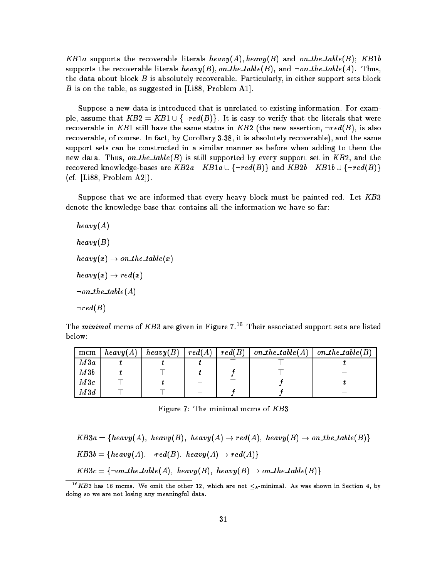KB1a supports the recoverable literals heavy(A), heavy(B) and on the table(B); KB1b supports the recoverable literals heavy(B), on the table(B), and  $\neg on$  the table(A). Thus, the data about block  $B$  is absolutely recoverable. Particularly, in either support sets block B is on the table, as suggested in [Li88, Problem A1].

Suppose a new data is introduced that is unrelated to existing information. For example, assume that  $KB2 = KB1 \cup \{\neg red(B)\}\.$  It is easy to verify that the literals that were recoverable in KB1 still have the same status in KB2 (the new assertion,  $\neg red(B)$ , is also recoverable, of course. In fact, by Corollary 3.38, it is absolutely recoverable), and the same support sets can be constructed in a similar manner as before when adding to them the new data. Thus, on the table(B) is still supported by every support set in  $KB2$ , and the recovered knowledge-bases are  $KB2a=KB1a\cup \{\neg red(B)\}\$  and  $KB2b=KB1b\cup \{\neg red(B)\}\$ (cf.  $[Li88, Problem A2]$ ).

Suppose that we are informed that every heavy block must be painted red. Let KB3 denote the knowledge base that contains all the information we have so far:

 $heavy(A)$  $heavy(B)$  $heavy(x) \rightarrow on\_the\_table(x)$  $heavy(x) \rightarrow red(x)$  $\neg on\_the\_table(A)$  $\neg red(B)$ 

The minimal mcms of KB3 are given in Figure 7.<sup>16</sup> Their associated support sets are listed below:

| mcm | heavy(A) | heavy(B) | red(A) | red(B) | on the table $(A)$ | on_the_table( $B$ ) |
|-----|----------|----------|--------|--------|--------------------|---------------------|
| M3a |          |          |        |        |                    |                     |
| M3b |          |          |        |        |                    |                     |
| M3c |          |          |        |        |                    |                     |
| M3d |          |          |        |        |                    |                     |

Figure 7: The minimal mcms of KB3

$$
KB3a = \{heavy(A), heavy(B), heavy(A) \rightarrow red(A), heavy(B) \rightarrow on\_the\_table(B)\}
$$
  
\n
$$
KB3b = \{heavy(A), \neg red(B), heavy(A) \rightarrow red(A)\}
$$
  
\n
$$
KB3c = \{\neg on\_the\_table(A), heavy(B), heavy(B) \rightarrow on\_the\_table(B)\}
$$

<sup>&</sup>lt;sup>16</sup>KB3 has 16 mcms. We omit the other 12, which are not  $\leq_k$ -minimal. As was shown in Section 4, by doing so we are not losing any meaningful data.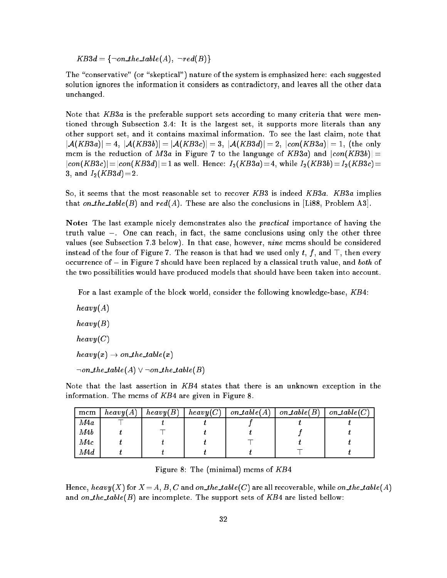$KB3d = \{\neg on\_the\_table(A), \neg red(B)\}\$ 

The "conservative" (or "skeptical") nature of the system is emphasized here: each suggested solution ignores the information it considers as contradictory, and leaves all the other data unchanged.

Note that  $KB3a$  is the preferable support sets according to many criteria that were mentioned through Subsection 3.4: It is the largest set, it supports more literals than any other support set, and it contains maximal information. To see the last claim, note that  $|\mathcal{A}(KB3a)| = 4, |\mathcal{A}(KB3b)| = |\mathcal{A}(KB3c)| = 3, |\mathcal{A}(KB3d)| = 2, |con(KB3a)| = 1,$  (the only mcm is the reduction of M3a in Figure 7 to the language of KB3a) and  $|con(KB3b)| =$  $|con(KB3c)|\!=\!|con(KB3d)|\!=\!1$  as well. Hence:  $I_2(KB3a)\!=\!4,$  while  $I_2(KB3b)\!=\!I_2(KB3c)\!=\!1$ 3, and  $I_2(KB3d)=2$ .

So, it seems that the most reasonable set to recover KB3 is indeed KB3a. KB3a implies that on\_the\_table(B) and  $red(A)$ . These are also the conclusions in [Li88, Problem A3].

Note: The last example nicely demonstrates also the *practical* importance of having the truth value  $\perp$ . One can reach, in fact, the same conclusions using only the other three values (see Subsection 7.3 below). In that case, however, nine mcms should be considered instead of the four of Figure 7. The reason is that had we used only  $t, f,$  and  $\top$ , then every occurrence of  $\perp$  in Figure 7 should have been replaced by a classical truth value, and both of the two possibilities would have produced models that should have been taken into account.

For a last example of the block world, consider the following knowledge-base, KB4:

 $heavy(A)$  $heavy(B)$  $heavy (C)$  $heavy(x) \rightarrow on\_the\_table(x)$  $\neg on\_the\_table(A) \vee \neg on\_the\_table(B)$ 

Note that the last assertion in KB4 states that there is an unknown exception in the information. The mcms of  $KB4$  are given in Figure 8.

| mcm | heavy(A) | heavy(B) | heavy (C) | $on\_table(A)$ | on $table(B)$ | $on\_table(C)$ |
|-----|----------|----------|-----------|----------------|---------------|----------------|
| M4a |          |          |           |                |               |                |
| M4b |          |          |           |                |               |                |
| M4c |          |          |           |                |               |                |
| M4d |          |          |           |                |               |                |

Figure 8: The (minimal) mcms of KB4

Hence, heavy(X) for  $X = A$ , B, C and on the table(C) are all recoverable, while on the table(A) and on\_the\_table(B) are incomplete. The support sets of  $KB4$  are listed bellow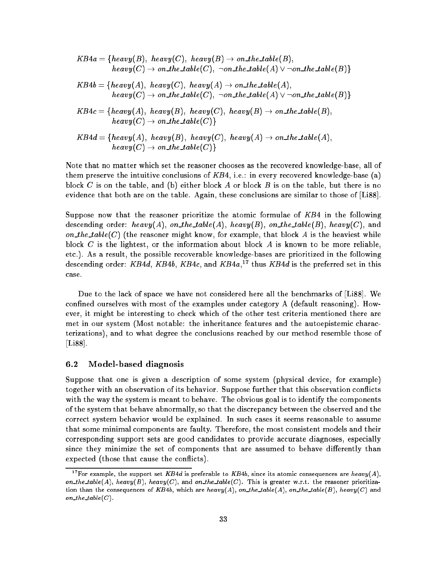$$
KB4a = \{heavy(B), heavy(C), heavy(B) \rightarrow on\_the\_table(B),
$$
  
\n
$$
heavy(C) \rightarrow on\_the\_table(C), \neg on\_the\_table(A) \lor \neg on\_the\_table(B)\}
$$
  
\n
$$
KB4b = \{heavy(A), heavy(C), heavy(A) \rightarrow on\_the\_table(A),
$$
  
\n
$$
heavy(C) \rightarrow on\_the\_table(C), \neg on\_the\_table(A) \lor \neg on\_the\_table(B)\}
$$
  
\n
$$
KB4c = \{heavy(A), heavy(B), heavy(C), heavy(B) \rightarrow on\_the\_table(B),
$$
  
\n
$$
heavy(C) \rightarrow on\_the\_table(C)\}
$$
  
\n
$$
KB4d = \{heavy(A), heavy(B), heavy(C), heavy(A) \rightarrow on\_the\_table(A),
$$
  
\n
$$
heavy(C) \rightarrow on\_the\_table(C)\}
$$

Note that no matter which set the reasoner chooses as the recovered knowledge-base, all of them preserve the intuitive conclusions of  $KB4$ , i.e.: in every recovered knowledge-base (a) block C is on the table, and (b) either block A or block B is on the table, but there is no evidence that both are on the table. Again, these conclusions are similar to those of [Li88].

Suppose now that the reasoner prioritize the atomic formulae of KB4 in the following descending order: heavy(A), on\_the\_table(A), heavy(B), on\_the\_table(B), heavy(C), and on the table  $(C)$  (the reasoner might know, for example, that block A is the heaviest while block  $C$  is the lightest, or the information about block  $A$  is known to be more reliable, etc.). As a result, the possible recoverable knowledge-bases are prioritized in the following descending order:  $\mathit{KB4d}_\cdot$   $\mathit{KB4b}_\cdot$   $\mathit{KB4c}_\cdot$  and  $\mathit{KB4a}_\cdot$   $^{17}$  thus  $\mathit{KB4d}_\cdot$  is the preferred set in this case.

Due to the lack of space we have not considered here all the benchmarks of [Li88]. We confined ourselves with most of the examples under category A (default reasoning). However, it might be interesting to check which of the other test criteria mentioned there are met in our system (Most notable: the inheritance features and the autoepistemic characterizations), and to what degree the conclusions reached by our method resemble those of [Li88].

#### 6.2 Model-based diagnosis

Suppose that one is given a description of some system (physical device, for example) together with an observation of its behavior. Suppose further that this observation conflicts with the way the system is meant to behave. The obvious goal is to identify the components of the system that behave abnormally, so that the discrepancy between the observed and the correct system behavior would be explained. In such cases it seems reasonable to assume that some minimal components are faulty. Therefore, the most consistent models and their corresponding support sets are good candidates to provide accurate diagnoses, especially since they minimize the set of components that are assumed to behave differently than expected (those that cause the conflicts).

<sup>&</sup>lt;sup>17</sup> For example, the support set KB4d is preferable to KB4b, since its atomic consequences are heavy(A), on\_the\_table(A), heavy(B), heavy(C), and on\_the\_table(C). This is greater w.r.t. the reasoner prioritization than the consequences of KB4b, which are heavy(A), on the table(A), on the table(B), heavy(C) and on\_the\_table $(C)$ .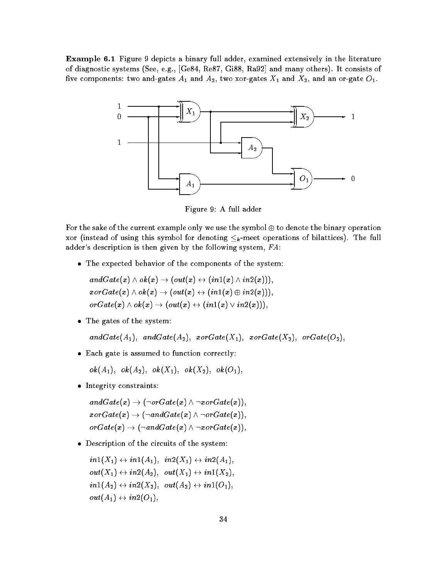Example 6.1 Figure 9 depicts a binary full adder, examined extensively in the literature of diagnostic systems (See, e.g., [Ge84, Re87, Gi88, Ra92] and many others). It consists of five components: two and-gates  $A_1$  and  $A_2$ , two xor-gates  $X_1$  and  $X_2$ , and an or-gate  $O_1$ .



Figure 9: A full adder

For the sake of the current example only we use the symbol  $\oplus$  to denote the binary operation xor (instead of using this symbol for denoting  $\leq_k$ -meet operations of bilattices). The full adder's description is then given by the following system, FA:

The expected behavior of the components of the system:

$$
andGate(x) \wedge ok(x) \rightarrow (out(x) \leftrightarrow (in1(x) \wedge in2(x))), \\ x or Gate(x) \wedge ok(x) \rightarrow (out(x) \leftrightarrow (in1(x) \oplus in2(x))), \\ or Gate(x) \wedge ok(x) \rightarrow (out(x) \leftrightarrow (in1(x) \vee in2(x))), \\
$$

The gates of the system:

 $andGate(A_1), andGate(A_2),$   $zeroGate(X_1),$   $zeroGate(X_2),$   $oroGate(O_2),$ 

Each gate is assumed to function correctly:

 $ok(A_1), \, ok(A_2), \, ok(X_1), \, ok(X_2), \, ok(O_1),$ 

• Integrity constraints:

$$
andGate(x) \rightarrow (\neg orGate(x) \land \neg x orGate(x)), \\ x or Gate(x) \rightarrow (\neg andGate(x) \land \neg orGate(x)), \\ or Gate(x) \rightarrow (\neg andGate(x) \land \neg x or Gate(x)), \\
$$

Description of the circuits of the system:

$$
in1(X_1) \leftrightarrow in1(A_1), \ \ in2(X_1) \leftrightarrow in2(A_1), \\ out(X_1) \leftrightarrow in2(A_2), \ \ out(X_1) \leftrightarrow in1(X_2), \\ in1(A_2) \leftrightarrow in2(X_2), \ \ out(A_2) \leftrightarrow in1(O_1), \\ out(A_1) \leftrightarrow in2(O_1),
$$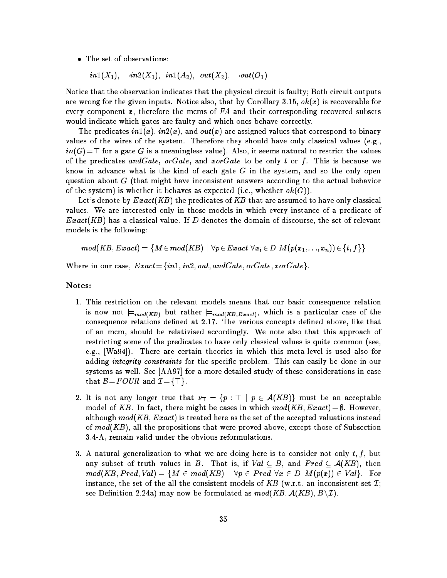The set of observations:

 $in1(X_1), \ \ \neg in2(X_1), \ \ in1(A_2), \ \ out(X_2), \ \ \neg out(O_1)$ 

Notice that the observation indicates that the physical circuit is faulty; Both circuit outputs are wrong for the given inputs. Notice also, that by Corollary 3.15,  $ok(x)$  is recoverable for every component x, therefore the mcms of  $FA$  and their corresponding recovered subsets would indicate which gates are faulty and which ones behave correctly.

The predicates  $in1(x)$ ,  $in2(x)$ , and  $out(x)$  are assigned values that correspond to binary values of the wires of the system. Therefore they should have only classical values (e.g.,  $in(G)=\top$  for a gate G is a meaningless value). Also, it seems natural to restrict the values of the predicates and Gate, or Gate, and xor Gate to be only t or f. This is because we know in advance what is the kind of each gate  $G$  in the system, and so the only open question about  $G$  (that might have inconsistent answers according to the actual behavior of the system) is whether it behaves as expected (i.e., whether  $ok(G)$ ).

Let's denote by  $Exact(KB)$  the predicates of  $KB$  that are assumed to have only classical values. We are interested only in those models in which every instance of a predicate of  $Exact(KB)$  has a classical value. If D denotes the domain of discourse, the set of relevant models is the following:

$$
mod(KB, Exact) = \{ M \in mod(KB) \mid \forall p \in Exact \; \forall x_i \in D \; M(p(x_1, \ldots, x_n)) \in \{t, f\} \}
$$

Where in our case,  $Exact = \{in1, in2, out, and Gate, or Gate, x or Gate\}.$ 

#### Notes:

- 1. This restriction on the relevant models means that our basic consequence relation is now not  $\models_{mod(KB)}$  but rather  $\models_{mod(KB, Exact)}$ , which is a particular case of the consequence relations defined at 2.17. The various concepts defined above, like that of an mcm, should be relativised accordingly. We note also that this approach of restricting some of the predicates to have only classical values is quite common (see, e.g., [Wa94]). There are certain theories in which this meta-level is used also for adding integrity constraints for the specific problem. This can easily be done in our systems as well. See [AA97] for a more detailed study of these considerations in case that  $\mathcal{B} = FOUR$  and  $\mathcal{I} = {\top}$ .
- 2. It is not any longer true that  $\nu_{\perp} = \{p : \top \mid p \in A(KB)\}\)$  must be an acceptable model of KB. In fact, there might be cases in which  $mod(KB, Exact) = \emptyset$ . However, although  $mod(KB, Exact)$  is treated here as the set of the accepted valuations instead of  $mod(KB)$ , all the propositions that were proved above, except those of Subsection 3.4-A, remain valid under the obvious reformulations.
- 3. A natural generalization to what we are doing here is to consider not only  $t, f$ , but any subset of truth values in B. That is, if  $Val \subset B$ , and  $Pred \subset A(KB)$ , then  $mod(KB, Pred, Val) = \{M \in mod(KB) \mid \forall p \in Pred \; \forall x \in D \; M(p(x)) \in Val\}.$  For instance, the set of the all the consistent models of KB (w.r.t. an inconsistent set  $\mathcal{I}$ ; see Definition 2.24a) may now be formulated as  $mod(KB, \mathcal{A}(KB), B\backslash\mathcal{I}).$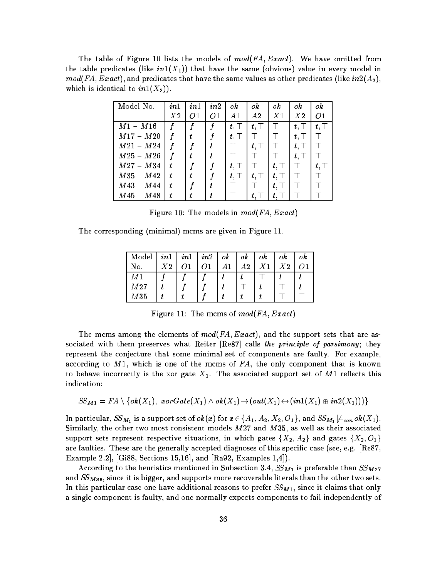The table of Figure 10 lists the models of  $\mathit{mod}(\mathit{FA}, \mathit{Exact})$ . We have omitted from the table predicates (like  $in1(X_1)$ ) that have the same (obvious) value in every model in  $mod(FA, Exact)$ , and predicates that have the same values as other predicates (like  $in2(A<sub>2</sub>)$ , which is identical to  $in1(X_2)$ .

| Model No.   | in1 | in1 | in2 | ok            | ok           | ok           | ok           | ok           |
|-------------|-----|-----|-----|---------------|--------------|--------------|--------------|--------------|
|             | X2  | 01  | 01  | A1            | A2           | X1           | X2           | 01           |
| $M1 - M16$  |     |     |     | $t, \top$     | $t,\top$     |              | $t,\top$     | $t, \top$    |
| $M17 - M20$ |     |     |     | $t$ , T       |              |              | $t$ , $\top$ |              |
| $M21 - M24$ |     |     | t.  |               | $t$ , $\top$ |              | $t, \top$    |              |
| $M25-M26$   |     |     |     |               |              |              | $t,\top$     |              |
| $M27 - M34$ | t.  |     |     | $t$ , T       |              | $t, \top$    |              | $t$ , $\top$ |
| $M35 - M42$ | t   | t.  |     | $t$ , $\perp$ | $t,\top$     | $t$ , $\top$ |              |              |
| $M43 - M44$ | t.  | f   |     |               |              | $t$ , T      |              |              |
| M45 – M48   | t   |     |     |               | $t,^-$       |              |              |              |

Figure 10: The models in  $mod(FA, Exact)$ 

The corresponding (minimal) mcms are given in Figure 11.

| Model           | in1              | i n 1 | in2 | $\,$ | оk | ok             | оk | оk |
|-----------------|------------------|-------|-----|------|----|----------------|----|----|
| No.             | $X\hskip-3.5pt2$ |       |     |      | A2 | X <sub>1</sub> | X2 |    |
| M1              |                  |       |     |      |    |                |    |    |
| M <sub>27</sub> |                  |       |     |      |    |                |    |    |
| M <sub>35</sub> |                  |       |     |      |    |                |    |    |

Figure 11: The mcms of  $mod(FA, Exact)$ 

The mcms among the elements of  $mod(FA, Exact)$ , and the support sets that are associated with them preserves what Reiter  $[{\rm Re}87]$  calls the principle of parsimony; they represent the conjecture that some minimal set of components are faulty. For example, according to  $M_1$ , which is one of the mcms of  $FA$ , the only component that is known to behave incorrectly is the xor gate  $X_1$ . The associated support set of M1 reflects this indication:

$$
SS_{M1} = FA \setminus \{ok(X_1),\ x \text{ or } Gate(X_1) \wedge ok(X_1) \rightarrow (out(X_1) \leftrightarrow (in1(X_1) \oplus in2(X_1)))\}
$$

In particular,  $SS_{M_1}$  is a support set of  $ok(x)$  for  $x\in\{A_1,A_2,X_2,O_1\},$  and  $SS_{M_1}\not\models_{con} ok(X_1).$ Similarly, the other two most consistent models  $M27$  and  $M35$ , as well as their associated support sets represent respective situations, in which gates  $\{X_2, A_2\}$  and gates  $\{X_2, O_1\}$ are faulties. These are the generally accepted diagnoses of this specific case (see, e.g. |Re87, Example 2.2], [Gi88, Sections 15,16], and [Ra92, Examples 1,4]).

According to the heuristics mentioned in Subsection 3.4,  $SS_{M1}$  is preferable than  $SS_{M27}$ and  $SS_{M35}$ , since it is bigger, and supports more recoverable literals than the other two sets. In this particular case one have additional reasons to prefer  $SS_{M1}$ , since it claims that only a single component is faulty, and one normally expects components to fail independently of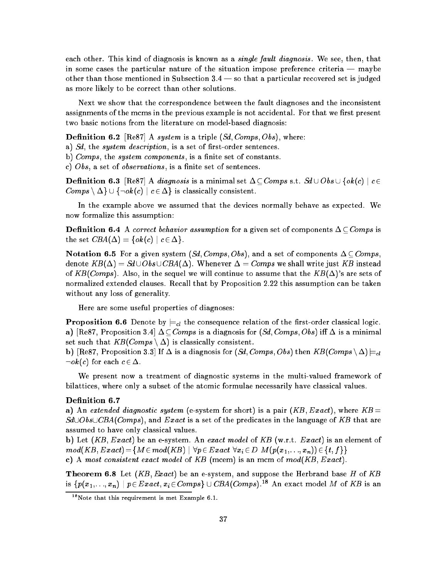each other. This kind of diagnosis is known as a *single fault diagnosis*. We see, then, that in some cases the particular nature of the situation impose preference criteria  $-$  maybe other than those mentioned in Subsection  $3.4$  — so that a particular recovered set is judged as more likely to be correct than other solutions.

Next we show that the correspondence between the fault diagnoses and the inconsistent assignments of the mcms in the previous example is not accidental. For that we first present two basic notions from the literature on model-based diagnosis:

**Definition 6.2** [Re87] A system is a triple  $(Sd, Comps, Obs)$ , where:

a)  $S_d$ , the *system description*, is a set of first-order sentences.

b) Comps, the system components, is a finite set of constants.

c)  $Obs$ , a set of *observations*, is a finite set of sentences.

**Definition 6.3** [Re87] A diagnosis is a minimal set  $\Delta \subset Comps$  s.t.  $Sd \cup Obs \cup \{ok(c) | c \in$  $Comps \setminus \Delta \} \cup \{\neg \text{ok}(c) \mid c \in \Delta \}$  is classically consistent.

In the example above we assumed that the devices normally behave as expected. We now formalize this assumption:

**Definition 6.4** A correct behavior assumption for a given set of components  $\Delta \subseteq Comps$  is the set  $CBA(\Delta) = \{ok(c) \mid c \in \Delta\}.$ 

**Notation 6.5** For a given system  $(Sd, Comps, Obs)$ , and a set of components  $\Delta \subset Comps$ . denote  $KB(\Delta) = Sd \cup Obs \cup CBA(\Delta)$ . Whenever  $\Delta = Comps$  we shall write just KB instead of KB(Comps). Also, in the sequel we will continue to assume that the  $KB(\Delta)$ 's are sets of normalized extended clauses. Recall that by Proposition 2.22 this assumption can be taken without any loss of generality.

Here are some useful properties of diagnoses:

**Proposition 6.6** Denote by  $\models$ <sub>cl</sub> the consequence relation of the first-order classical logic. a) [Re87, Proposition 3.4]  $\Delta \subset Comps$  is a diagnosis for (Sd, Comps, Obs) iff  $\Delta$  is a minimal set such that  $KB(Comps \setminus \Delta)$  is classically consistent.

b) [Re87, Proposition 3.3] If  $\Delta$  is a diagnosis for (Sd, Comps, Obs) then  $KB(Comps \setminus \Delta) \models_{cl}$  $\lnot \text{ok}(c)$  for each  $c \in \Delta$ .

We present now a treatment of diagnostic systems in the multi-valued framework of bilattices, where only a subset of the atomic formulae necessarily have classical values.

#### Definition 6.7

a) An extended diagnostic system (e-system for short) is a pair  $(KB, Exact)$ , where  $KB =$  $Sd\cup CBA(Comps)$ , and Exact is a set of the predicates in the language of KB that are assumed to have only classical values.

b) Let  $(KB, Exact)$  be an e-system. An exact model of KB (w.r.t.  $Exact$ ) is an element of  $mod(KB, Exact) = \{M \in mod(KB) \mid \forall p \in Exact \; \forall x_i \in D \; M(p(x_1,..., x_n)) \in \{t, f\}\}\$ c) A most consistent exact model of KB (mcem) is an mcm of  $mod(KB, Exact)$ .

**Theorem 6.8** Let  $(KB, Exact)$  be an e-system, and suppose the Herbrand base H of KB is  $\{p(x_1,...,x_n) \mid p \in Exact, x_i \in Comps \} \cup CBA(Comps)^{18}$  An exact model M of KB is an

<sup>18</sup>Note that this requirement is met Example 6.1.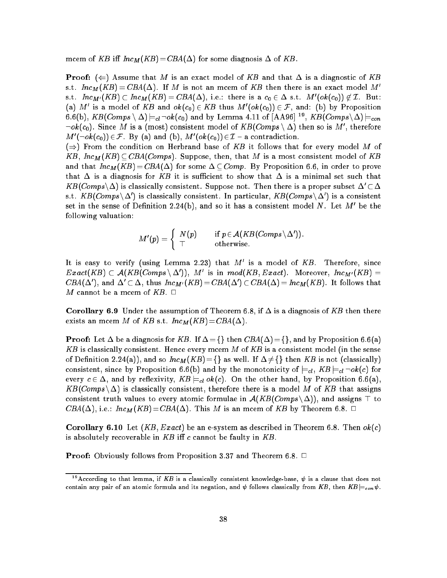mcem of KB iff  $Inc_M(KB) = CBA(\Delta)$  for some diagnosis  $\Delta$  of KB.

**Proof:**  $(\Leftarrow)$  Assume that M is an exact model of KB and that  $\Delta$  is a diagnostic of KB s.t.  $Inc_M(KB) = CBA(\Delta)$ . If M is not an mcem of KB then there is an exact model M' s.t.  $Inc_{M'}(KB) \subset Inc_M(KB) = CBA(\Delta)$ , i.e.: there is a  $c_0 \in \Delta$  s.t.  $M'(ok(c_0)) \not\in \mathcal{I}$ . But: (a) M' is a model of KB and  $ok(c_0) \in KB$  thus  $M'(ok(c_0)) \in F$ , and: (b) by Proposition 6.6(b),  $KB(Comps \setminus \Delta) \models_{cl} \neg \mathit{ok}(c_0)$  and by Lemma 4.11 of  $[\text{AA96}]$   $^{19}$ ,  $KB(Comps \setminus \Delta) \models_{con}$  $\lnot \mathit{ok}(c_0).$  Since  $M$  is a (most) consistent model of  $\mathit{KB}(Comps \setminus \Delta)$  then so is  $M',$  therefore  $M'(\neg \text{ok}(c_0)) \in \mathcal{F}$ . By (a) and (b),  $M'(\text{ok}(c_0)) \in \mathcal{I}$  – a contradiction.

 $(\Rightarrow)$  From the condition on Herbrand base of KB it follows that for every model M of  $KB, Inc<sub>M</sub>(KB) \subseteq CBA(Comps)$ . Suppose, then, that M is a most consistent model of KB and that  $Inc_M(KB) = CBA(\Delta)$  for some  $\Delta \subset Comp$ . By Proposition 6.6, in order to prove that  $\Delta$  is a diagnosis for KB it is sufficient to show that  $\Delta$  is a minimal set such that  $KB(Comps\setminus\Delta)$  is classically consistent. Suppose not. Then there is a proper subset  $\Delta' \subset \Delta$ s.t.  $KB(Comps \backslash \Delta')$  is classically consistent. In particular,  $KB(Comps \backslash \Delta')$  is a consistent set in the sense of Definition 2.24(b), and so it has a consistent model N. Let  $M'$  be the following valuation:

$$
M'(p)=\left\{\begin{array}{ll}N(p)\quad&\text{if }p\!\in\!\mathcal{A}(KB(Comps\setminus\Delta')).\\ \top&\text{otherwise.}\end{array}\right.
$$

It is easy to verify (using Lemma 2.23) that  $M'$  is a model of  $KB$ . Therefore, since  $Exact(KB) \subset \mathcal{A}(KB(Comps \setminus \Delta'))$ , M' is in  $mod(KB, Exact)$ . Moreover,  $Inc_{M'}(KB)$  =  $CBA(\Delta')$ , and  $\Delta' \subset \Delta$ , thus  $Inc_{M'}(KB) = CBA(\Delta') \subset CBA(\Delta) = Inc_M(KB)$ . It follows that M cannot be a mcem of  $KB$ .  $\Box$ 

**Corollary 6.9** Under the assumption of Theorem 6.8, if  $\Delta$  is a diagnosis of KB then there exists an mcem M of KB s.t.  $Inc_M(KB) = CBA(\Delta)$ .

**Proof:** Let  $\Delta$  be a diagnosis for KB. If  $\Delta = \{\}$  then  $CBA(\Delta) = \{\}$ , and by Proposition 6.6(a) KB is classically consistent. Hence every mcem M of KB is a consistent model (in the sense of Definition 2.24(a)), and so  $Inc_M(KB) = \{\}$  as well. If  $\Delta \neq \{\}$  then KB is not (classically) consistent, since by Proposition 6.6(b) and by the monotonicity of  $\models_{cl}$ ,  $KB \models_{cl} \neg ok(c)$  for every  $c \in \Delta$ , and by reflexivity,  $KB \models_{cl} ok(c)$ . On the other hand, by Proposition 6.6(a)  $KB(Comps \, \Delta)$  is classically consistent, therefore there is a model M of KB that assigns consistent truth values to every atomic formulae in  $\mathcal{A}(KB(Comps \setminus \Delta))$ , and assigns  $\top$  to  $CBA(\Delta)$ , i.e.:  $Inc_M(KB) = CBA(\Delta)$ . This M is an mcem of KB by Theorem 6.8.  $\Box$ 

**Corollary 6.10** Let  $(KB, Exact)$  be an e-system as described in Theorem 6.8. Then  $ok(c)$ is absolutely recoverable in  $KB$  iff c cannot be faulty in  $KB$ .

**Proof:** Obviously follows from Proposition 3.37 and Theorem 6.8.  $\Box$ 

<sup>&</sup>lt;sup>19</sup> According to that lemma, if KB is a classically consistent knowledge-base,  $\psi$  is a clause that does not contain any pair of an atomic formula and its negation, and  $\psi$  follows classically from KB, then  $KB \models_{con} \psi$ .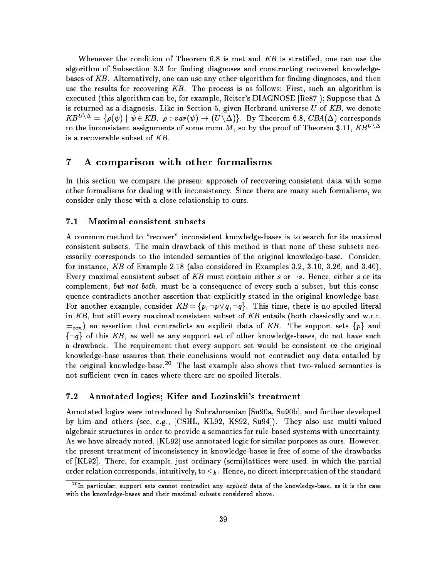Whenever the condition of Theorem 6.8 is met and KB is stratified, one can use the algorithm of Subsection 3.3 for finding diagnoses and constructing recovered knowledgebases of  $KB$ . Alternatively, one can use any other algorithm for finding diagnoses, and then use the results for recovering  $KB$ . The process is as follows: First, such an algorithm is executed (this algorithm can be, for example, Reiter's DIAGNOSE [Re87]); Suppose that  $\Delta$ is returned as a diagnosis. Like in Section 5, given Herbrand universe  $U$  of  $KB$ , we denote  $KB^{U\setminus\Delta} = \{\rho(\psi) \mid \psi \in KB, \ \rho : var(\psi) \to (U\setminus\Delta)\}\.$  By Theorem 6.8,  $CBA(\Delta)$  corresponds to the inconsistent assignments of some mcm M, so by the proof of Theorem 3.11,  $KB^{U\setminus\Delta}$ is a recoverable subset of KB.

## 7 A comparison with other formalisms

In this section we compare the present approach of recovering consistent data with some other formalisms for dealing with inconsistency. Since there are many such formalisms, we consider only those with a close relationship to ours.

#### 7.1 Maximal consistent subsets

A common method to "recover" inconsistent knowledge-bases is to search for its maximal consistent subsets. The main drawback of this method is that none of these subsets necessarily corresponds to the intended semantics of the original knowledge-base. Consider, for instance, KB of Example 2.18 (also considered in Examples 3.2, 3.10, 3.26, and 3.40). Every maximal consistent subset of KB must contain either s or  $\neg s$ . Hence, either s or its complement, but not both, must be a consequence of every such a subset, but this consequence contradicts another assertion that explicitly stated in the original knowledge-base. For another example, consider  $KB = \{p, \neg p \lor q, \neg q\}$ . This time, there is no spoiled literal in  $KB$ , but still every maximal consistent subset of  $KB$  entails (both classically and w.r.t.  $\models_{con}$ ) an assertion that contradicts an explicit data of  $\mathit{KB}$  . The support sets  $\{p\}$  and  $\{\neg q\}$  of this KB, as well as any support set of other knowledge-bases, do not have such a drawback. The requirement that every support set would be consistent in the original knowledge-base assures that their conclusions would not contradict any data entailed by the original knowledge-base.<sup>20</sup> The last example also shows that two-valued semantics is not sufficient even in cases where there are no spoiled literals.

### 7.2 Annotated logics; Kifer and Lozinskii's treatment

Annotated logics were introduced by Subrahmanian [Su90a, Su90b], and further developed by him and others (see, e.g., [CSHL, KL92, KS92, Su94]). They also use multi-valued algebraic structures in order to provide a semantics for rule-based systems with uncertainty. As we have already noted, [KL92] use annotated logic for similar purposes as ours. However, the present treatment of inconsistency in knowledge-bases is free of some of the drawbacks of [KL92]. There, for example, just ordinary (semi)lattices were used, in which the partial order relation corresponds, intuitively, to  $\leq_k$ . Hence, no direct interpretation of the standard

 $^{20}$ In particular, support sets cannot contradict any explicit data of the knowledge-base, as it is the case with the knowledge-bases and their maximal subsets considered above.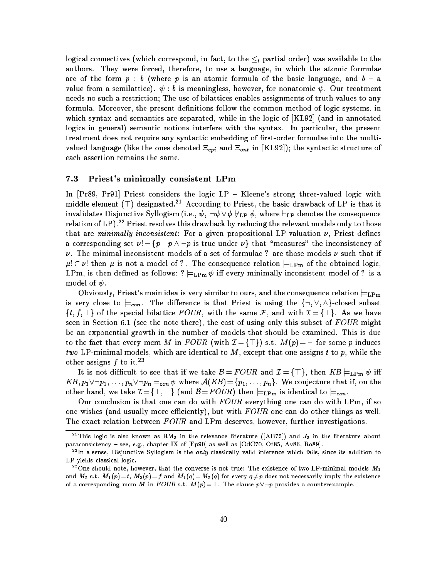logical connectives (which correspond, in fact, to the  $\leq_t$  partial order) was available to the authors. They were forced, therefore, to use a language, in which the atomic formulae are of the form  $p : b$  (where p is an atomic formula of the basic language, and  $b - a$ value from a semilattice).  $\psi : b$  is meaningless, however, for nonatomic  $\psi$ . Our treatment needs no such a restriction; The use of bilattices enables assignments of truth values to any formula. Moreover, the present definitions follow the common method of logic systems, in which syntax and semantics are separated, while in the logic of [KL92] (and in annotated logics in general) semantic notions interfere with the syntax. In particular, the present treatment does not require any syntactic embedding of first-order formulae into the multivalued language (like the ones denoted  $\Xi_{epi}$  and  $\Xi_{ont}$  in [KL92]); the syntactic structure of each assertion remains the same.

#### 7.3 Priest's minimally consistent LPm

In  $[Pr89, Pr91]$  Priest considers the logic LP - Kleene's strong three-valued logic with middle element  $(\top)$  designated.<sup>21</sup> According to Priest, the basic drawback of LP is that it invalidates Disjunctive Syllogism (i.e.,  $\psi$ ,  $\neg \psi \lor \phi \not\vdash_{\text{LP}} \phi$ , where  $\vdash_{\text{LP}}$  denotes the consequence relation of LP).<sup>22</sup> Priest resolves this drawback by reducing the relevant models only to those that are minimally inconsistent: For a given propositional LP-valuation  $\nu$ , Priest defines a corresponding set  $\nu = \{p \mid p \wedge \neg p \text{ is true under } \nu\}$  that "measures" the inconsistency of  $\nu$ . The minimal inconsistent models of a set of formulae ? are those models  $\nu$  such that if  $\mu$ !  $\subset \nu$ ! then  $\mu$  is not a model of ?. The consequence relation  $\models_{\text{LPm}}$  of the obtained logic, LPm, is then defined as follows:  $? \models_{\text{LPm}} \psi$  iff every minimally inconsistent model of ? is a model of  $\psi$ .

Obviously, Priest's main idea is very similar to ours, and the consequence relation  $\models_{\mathrm{LPm}}$ is very close to  $\models_{con}$ . The difference is that Priest is using the  $\{\neg, \vee, \wedge\}$ -closed subset  $\{t, f, \top\}$  of the special bilattice  $FOUR$ , with the same  $\mathcal{F}$ , and with  $\mathcal{I} = {\top}$ . As we have seen in Section 6.1 (see the note there), the cost of using only this subset of  $FOUR$  might be an exponential growth in the number of models that should be examined. This is due to the fact that every mcm M in FOUR (with  $\mathcal{I} = \{\top\}$ ) s.t.  $M(p) = \bot$  for some p induces two LP-minimal models, which are identical to  $M$ , except that one assigns t to  $p$ , while the other assigns  $f$  to it.<sup>23</sup>

It is not difficult to see that if we take  $\mathcal{B} = FOUR$  and  $\mathcal{I} = {\top}$ , then  $KB \models_{\text{LPm}} \psi$  iff  $KB, p_1 \vee \neg p_1, \ldots, p_n \vee \neg p_n \models_{con} \psi$  where  $\mathcal{A}(KB) = \{p_1, \ldots, p_n\}$ . We conjecture that if, on the other hand, we take  $\mathcal{I} = \{\top, \bot\}$  (and  $\mathcal{B} = FOUR$ ) then  $\models_{\text{LPm}}$  is identical to  $\models_{con}$ .

Our conclusion is that one can do with  $FOUR$  everything one can do with LPm, if so one wishes (and usually more efficiently), but with  $FOUR$  one can do other things as well. The exact relation between FOUR and LPm deserves, however, further investigations.

<sup>&</sup>lt;sup>21</sup> This logic is also known as RM<sub>3</sub> in the relevance literature ([AB75]) and  $J_3$  in the literature about paraconsistency - see, e.g., chapter IX of  $[Ep90]$  as well as  $[OdC70, Ot85, Av86, Ro89]$ .

 $22$ In a sense, Disjunctive Syllogism is the *only* classically valid inference which fails, since its addition to LP yields classical logic.

<sup>&</sup>lt;sup>23</sup>One should note, however, that the converse is not true: The existence of two LP-minimal models  $M_1$ and  $M_2$  s.t.  $M_1(p)=t$ ,  $M_2(p)=f$  and  $M_1(q)=M_2(q)$  for every  $q\neq p$  does not necessarily imply the existence of a corresponding mcm M in FOUR s.t.  $M(p) = \perp$ . The clause  $p \vee \neg p$  provides a counterexample.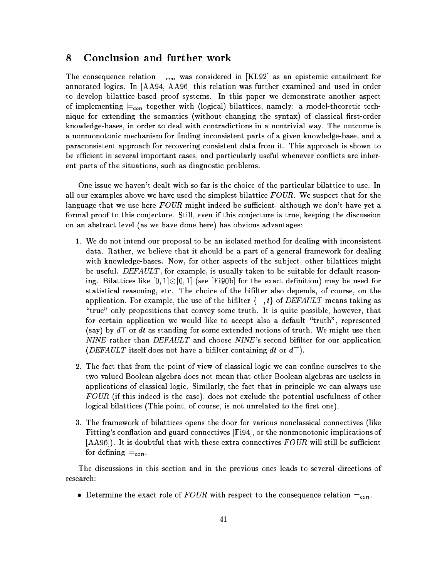## 8 Conclusion and further work

The consequence relation  $\models_{con}$  was considered in [KL92] as an epistemic entailment for annotated logics. In [AA94, AA96] this relation was further examined and used in order to develop bilattice-based proof systems. In this paper we demonstrate another aspect of implementing  $\models_{con}$  together with (logical) bilattices, namely: a model-theoretic technique for extending the semantics (without changing the syntax) of classical first-order knowledge-bases, in order to deal with contradictions in a nontrivial way. The outcome is a nonmonotonic mechanism for finding inconsistent parts of a given knowledge-base, and a paraconsistent approach for recovering consistent data from it. This approach is shown to be efficient in several important cases, and particularly useful whenever conflicts are inherent parts of the situations, such as diagnostic problems.

One issue we haven't dealt with so far is the choice of the particular bilattice to use. In all our examples above we have used the simplest bilattice  $FOUR$ . We suspect that for the language that we use here  $FOUR$  might indeed be sufficient, although we don't have yet a formal proof to this conjecture. Still, even if this conjecture is true, keeping the discussion on an abstract level (as we have done here) has obvious advantages:

- 1. We do not intend our proposal to be an isolated method for dealing with inconsistent data. Rather, we believe that it should be a part of a general framework for dealing with knowledge-bases. Now, for other aspects of the subject, other bilattices might be useful. DEFAULT, for example, is usually taken to be suitable for default reasoning. Bilattices like  $[0,1] \odot [0,1]$  (see [Fi90b] for the exact definition) may be used for statistical reasoning, etc. The choice of the bilter also depends, of course, on the application. For example, the use of the bifilter  $\{\top, t\}$  of  $DEFAULT$  means taking as "true" only propositions that convey some truth. It is quite possible, however, that for certain application we would like to accept also a default \truth", represented (say) by  $d\top$  or dt as standing for some extended notions of truth. We might use then  $NINE$  rather than  $DEFAULT$  and choose  $NINE$ 's second bifilter for our application (DEFAULT itself does not have a bifilter containing dt or  $d\top$ ).
- 2. The fact that from the point of view of classical logic we can confine ourselves to the two-valued Boolean algebra does not mean that other Boolean algebras are useless in applications of classical logic. Similarly, the fact that in principle we can always use FOUR (if this indeed is the case), does not exclude the potential usefulness of other logical bilattices (This point, of course, is not unrelated to the first one).
- 3. The framework of bilattices opens the door for various nonclassical connectives (like Fitting's conflation and guard connectives [Fi94], or the nonmonotonic implications of  $[AA96]$ . It is doubtful that with these extra connectives  $FOUR$  will still be sufficient for defining  $\models_{con}$

The discussions in this section and in the previous ones leads to several directions of research:

• Determine the exact role of  $FOUR$  with respect to the consequence relation  $\models_{con}$ .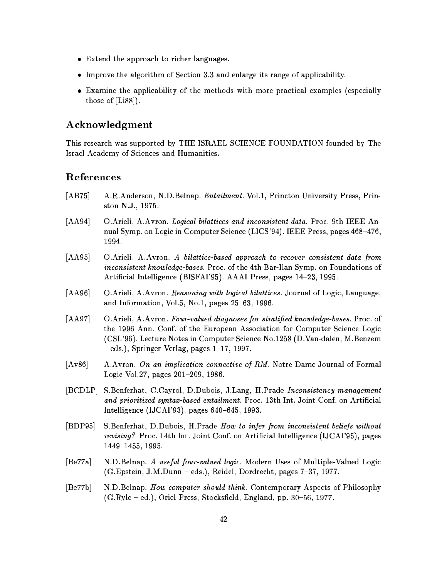- Extend the approach to richer languages.
- Improve the algorithm of Section 3.3 and enlarge its range of applicability.
- Examine the applicability of the methods with more practical examples (especially those of [Li88]).

### Acknowledgment

This research was supported by THE ISRAEL SCIENCE FOUNDATION founded by The Israel Academy of Sciences and Humanities.

### References

- [AB75] A.R.Anderson, N.D.Belnap. *Entailment*. Vol.1, Princton University Press, Prinston N.J., 1975.
- [AA94] O.Arieli, A.Avron. Logical bilattices and inconsistent data. Proc. 9th IEEE Annual Symp. on Logic in Computer Science (LICS'94). IEEE Press, pages 468–476, 1994.
- [AA95] O.Arieli, A.Avron. A bilattice-based approach to recover consistent data from inconsistent know ledge-bases. Proc. of the 4th Bar-Ilan Symp. on Foundations of Artificial Intelligence (BISFAI'95). AAAI Press, pages 14-23, 1995.
- [AA96] O.Arieli, A.Avron. Reasoning with logical bilattices. Journal of Logic, Language, and Information, Vol.5, No.1, pages  $25{-}63$ , 1996.
- [AA97] O.Arieli, A.Avron. Four-valued diagnoses for stratified knowledge-bases. Proc. of the 1996 Ann. Conf. of the European Association for Computer Science Logic (CSL'96). Lecture Notes in Computer Science No.1258 (D.Van-dalen, M.Benzem  $-$  eds.), Springer Verlag, pages 1-17, 1997.
- [Av86] A.Avron. On an implication connective of RM. Notre Dame Journal of Formal Logic Vol.27, pages 201-209, 1986.
- [BCDLP] S.Benferhat, C.Cayrol, D.Dubois, J.Lang, H.Prade Inconsistency management and prioritized syntax-based entailment. Proc. 13th Int. Joint Conf. on Artificial Intelligence (IJCAI'93), pages  $640-645$ , 1993.
- [BDP95] S.Benferhat, D.Dubois, H.Prade How to infer from inconsistent beliefs without revising? Proc. 14th Int. Joint Conf. on Articial Intelligence (IJCAI'95), pages 1449-1455, 1995.
- [Be77a] N.D.Belnap. A useful four-valued logic. Modern Uses of Multiple-Valued Logic  $(G.Epstein, J.M.Dunn - eds.),$  Reidel, Dordrecht, pages  $7-37, 1977.$
- [Be77b] N.D.Belnap. How computer should think. Contemporary Aspects of Philosophy  $(G.Ryle - ed.),$  Oriel Press, Stocksfield, England, pp. 30-56, 1977.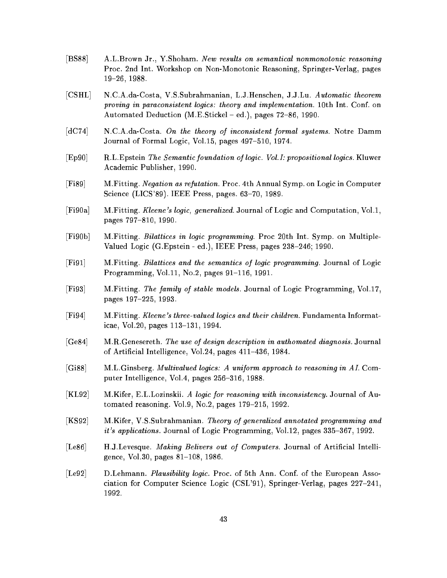- [BS88] A.L.Brown Jr., Y.Shoham. New results on semantical nonmonotonic reasoning Proc. 2nd Int. Workshop on Non-Monotonic Reasoning, Springer-Verlag, pages 19{26, 1988.
- [CSHL] N.C.A.da-Costa, V.S.Subrahmanian, L.J.Henschen, J.J.Lu. Automatic theorem proving in paraconsistent logics: theory and implementation. 10th Int. Conf. on Automated Deduction  $(M.E.Stickel - ed.),$  pages  $72–86, 1990.$
- [dC74] N.C.A.da-Costa. On the theory of inconsistent formal systems. Notre Damm Journal of Formal Logic, Vol.15, pages 497-510, 1974.
- [Ep90] R.L.Epstein The Semantic foundation of logic. Vol.I: propositional logics. Kluwer Academic Publisher, 1990.
- [Fi89] M.Fitting. Negation as refutation. Proc. 4th Annual Symp. on Logic in Computer Science (LICS'89). IEEE Press, pages.  $63-70$ , 1989.
- [Fi90a] M.Fitting. Kleene's logic, generalized. Journal of Logic and Computation, Vol.1, pages 797-810, 1990.
- [Fi90b] M.Fitting. Bilattices in logic programming. Proc 20th Int. Symp. on Multiple-Valued Logic (G.Epstein - ed.), IEEE Press, pages 238-246; 1990.
- [Fi91] M.Fitting. Bilattices and the semantics of logic programming. Journal of Logic Programming, Vol.11, No.2, pages  $91-116$ , 1991.
- [Fi93] M.Fitting. The family of stable models. Journal of Logic Programming, Vol.17, pages 197-225, 1993.
- [Fi94] M.Fitting. Kleene's three-valued logics and their children. Fundamenta Informaticae, Vol.20, pages 113-131, 1994.
- [Ge84] M.R.Genesereth. The use of design description in authomated diagnosis. Journal of Artificial Intelligence, Vol.24, pages  $411-436$ , 1984.
- [Gi88] M.L.Ginsberg. Multivalued logics: A uniform approach to reasoning in AI. Computer Intelligence, Vol.4, pages 256-316, 1988.
- [KL92] M.Kifer, E.L.Lozinskii. A logic for reasoning with inconsistency. Journal of Automated reasoning. Vol.9, No.2, pages  $179-215$ , 1992.
- [KS92] M.Kifer, V.S.Subrahmanian. Theory of generalized annotated programming and it's applications. Journal of Logic Programming, Vol.12, pages  $335-367$ , 1992.
- [Le86] H.J.Levesque. Making Belivers out of Computers. Journal of Artificial Intelligence, Vol.30, pages  $81-108$ , 1986.
- [Le92] D.Lehmann. Plausibility logic. Proc. of 5th Ann. Conf. of the European Association for Computer Science Logic (CSL'91), Springer-Verlag, pages 227-241, 1992.